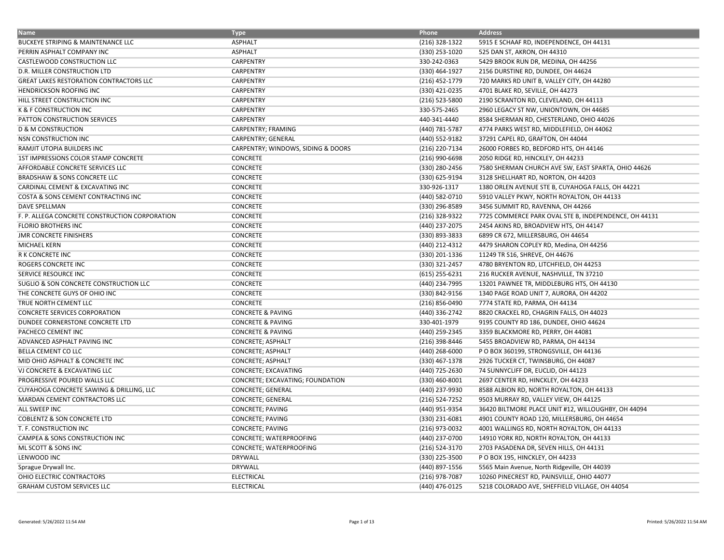| <b>Name</b>                                       | <b>Type</b>                        | Phone            | <b>Address</b>                                        |
|---------------------------------------------------|------------------------------------|------------------|-------------------------------------------------------|
| <b>BUCKEYE STRIPING &amp; MAINTENANCE LLC</b>     | <b>ASPHALT</b>                     | (216) 328-1322   | 5915 E SCHAAF RD, INDEPENDENCE, OH 44131              |
| PERRIN ASPHALT COMPANY INC                        | <b>ASPHALT</b>                     | (330) 253-1020   | 525 DAN ST, AKRON, OH 44310                           |
| CASTLEWOOD CONSTRUCTION LLC                       | <b>CARPENTRY</b>                   | 330-242-0363     | 5429 BROOK RUN DR, MEDINA, OH 44256                   |
| D.R. MILLER CONSTRUCTION LTD                      | <b>CARPENTRY</b>                   | (330) 464-1927   | 2156 DURSTINE RD, DUNDEE, OH 44624                    |
| GREAT LAKES RESTORATION CONTRACTORS LLC           | CARPENTRY                          | (216) 452-1779   | 720 MARKS RD UNIT B, VALLEY CITY, OH 44280            |
| <b>HENDRICKSON ROOFING INC</b>                    | CARPENTRY                          | (330) 421-0235   | 4701 BLAKE RD, SEVILLE, OH 44273                      |
| HILL STREET CONSTRUCTION INC                      | CARPENTRY                          | (216) 523-5800   | 2190 SCRANTON RD, CLEVELAND, OH 44113                 |
| K & F CONSTRUCTION INC                            | CARPENTRY                          | 330-575-2465     | 2960 LEGACY ST NW, UNIONTOWN, OH 44685                |
| PATTON CONSTRUCTION SERVICES                      | CARPENTRY                          | 440-341-4440     | 8584 SHERMAN RD, CHESTERLAND, OHIO 44026              |
| <b>D &amp; M CONSTRUCTION</b>                     | CARPENTRY; FRAMING                 | (440) 781-5787   | 4774 PARKS WEST RD, MIDDLEFIELD, OH 44062             |
| NSN CONSTRUCTION INC                              | CARPENTRY; GENERAL                 | (440) 552-9182   | 37291 CAPEL RD, GRAFTON, OH 44044                     |
| RAMJIT UTOPIA BUILDERS INC                        | CARPENTRY; WINDOWS, SIDING & DOORS | (216) 220-7134   | 26000 FORBES RD, BEDFORD HTS, OH 44146                |
| 1ST IMPRESSIONS COLOR STAMP CONCRETE              | <b>CONCRETE</b>                    | (216) 990-6698   | 2050 RIDGE RD, HINCKLEY, OH 44233                     |
| AFFORDABLE CONCRETE SERVICES LLC                  | <b>CONCRETE</b>                    | (330) 280-2456   | 7580 SHERMAN CHURCH AVE SW, EAST SPARTA, OHIO 44626   |
| <b>BRADSHAW &amp; SONS CONCRETE LLC</b>           | CONCRETE                           | (330) 625-9194   | 3128 SHELLHART RD, NORTON, OH 44203                   |
| CARDINAL CEMENT & EXCAVATING INC                  | CONCRETE                           | 330-926-1317     | 1380 ORLEN AVENUE STE B, CUYAHOGA FALLS, OH 44221     |
| COSTA & SONS CEMENT CONTRACTING INC               | <b>CONCRETE</b>                    | (440) 582-0710   | 5910 VALLEY PKWY, NORTH ROYALTON, OH 44133            |
| <b>DAVE SPELLMAN</b>                              | CONCRETE                           | (330) 296-8589   | 3456 SUMMIT RD, RAVENNA, OH 44266                     |
| F. P. ALLEGA CONCRETE CONSTRUCTION CORPORATION    | <b>CONCRETE</b>                    | (216) 328-9322   | 7725 COMMERCE PARK OVAL STE B, INDEPENDENCE, OH 44131 |
| FLORIO BROTHERS INC                               | <b>CONCRETE</b>                    | (440) 237-2075   | 2454 AKINS RD, BROADVIEW HTS, OH 44147                |
| <b>JMR CONCRETE FINISHERS</b>                     | <b>CONCRETE</b>                    | (330) 893-3833   | 6899 CR 672, MILLERSBURG, OH 44654                    |
| <b>MICHAEL KERN</b>                               | CONCRETE                           | (440) 212-4312   | 4479 SHARON COPLEY RD, Medina, OH 44256               |
| R K CONCRETE INC                                  | CONCRETE                           | (330) 201-1336   | 11249 TR S16, SHREVE, OH 44676                        |
| ROGERS CONCRETE INC                               | CONCRETE                           | (330) 321-2457   | 4780 BRYENTON RD, LITCHFIELD, OH 44253                |
| SERVICE RESOURCE INC                              | CONCRETE                           | $(615)$ 255-6231 | 216 RUCKER AVENUE, NASHVILLE, TN 37210                |
| SUGLIO & SON CONCRETE CONSTRUCTION LLC            | CONCRETE                           | (440) 234-7995   | 13201 PAWNEE TR, MIDDLEBURG HTS, OH 44130             |
| THE CONCRETE GUYS OF OHIO INC                     | <b>CONCRETE</b>                    | (330) 842-9156   | 1340 PAGE ROAD UNIT 7, AURORA, OH 44202               |
| TRUE NORTH CEMENT LLC                             | <b>CONCRETE</b>                    | (216) 856-0490   | 7774 STATE RD, PARMA, OH 44134                        |
| <b>CONCRETE SERVICES CORPORATION</b>              | <b>CONCRETE &amp; PAVING</b>       | (440) 336-2742   | 8820 CRACKEL RD, CHAGRIN FALLS, OH 44023              |
| DUNDEE CORNERSTONE CONCRETE LTD                   | <b>CONCRETE &amp; PAVING</b>       | 330-401-1979     | 9195 COUNTY RD 186, DUNDEE, OHIO 44624                |
| PACHECO CEMENT INC                                | <b>CONCRETE &amp; PAVING</b>       | (440) 259-2345   | 3359 BLACKMORE RD, PERRY, OH 44081                    |
| ADVANCED ASPHALT PAVING INC                       | <b>CONCRETE; ASPHALT</b>           | (216) 398-8446   | 5455 BROADVIEW RD, PARMA, OH 44134                    |
| BELLA CEMENT CO LLC                               | <b>CONCRETE; ASPHALT</b>           | (440) 268-6000   | P O BOX 360199, STRONGSVILLE, OH 44136                |
| MID OHIO ASPHALT & CONCRETE INC                   | <b>CONCRETE; ASPHALT</b>           | (330) 467-1378   | 2926 TUCKER CT, TWINSBURG, OH 44087                   |
| VJ CONCRETE & EXCAVATING LLC                      | CONCRETE; EXCAVATING               | (440) 725-2630   | 74 SUNNYCLIFF DR, EUCLID, OH 44123                    |
| PROGRESSIVE POURED WALLS LLC                      | CONCRETE; EXCAVATING; FOUNDATION   | (330) 460-8001   | 2697 CENTER RD, HINCKLEY, OH 44233                    |
| CUYAHOGA CONCRETE SAWING & DRILLING, LLC          | <b>CONCRETE; GENERAL</b>           | (440) 237-9930   | 8588 ALBION RD, NORTH ROYALTON, OH 44133              |
| MARDAN CEMENT CONTRACTORS LLC                     | CONCRETE; GENERAL                  | (216) 524-7252   | 9503 MURRAY RD, VALLEY VIEW, OH 44125                 |
| ALL SWEEP INC                                     | CONCRETE; PAVING                   | (440) 951-9354   | 36420 BILTMORE PLACE UNIT #12, WILLOUGHBY, OH 44094   |
| <b>COBLENTZ &amp; SON CONCRETE LTD</b>            | CONCRETE; PAVING                   | (330) 231-6081   | 4901 COUNTY ROAD 120, MILLERSBURG, OH 44654           |
| T. F. CONSTRUCTION INC                            | <b>CONCRETE; PAVING</b>            | (216) 973-0032   | 4001 WALLINGS RD, NORTH ROYALTON, OH 44133            |
| CAMPEA & SONS CONSTRUCTION INC                    | CONCRETE; WATERPROOFING            | (440) 237-0700   | 14910 YORK RD, NORTH ROYALTON, OH 44133               |
| ML SCOTT & SONS INC                               | CONCRETE; WATERPROOFING            | (216) 524-3170   | 2703 PASADENA DR, SEVEN HILLS, OH 44131               |
| LENWOOD INC                                       | <b>DRYWALL</b>                     | (330) 225-3500   | P O BOX 195, HINCKLEY, OH 44233                       |
|                                                   | <b>DRYWALL</b>                     | (440) 897-1556   | 5565 Main Avenue, North Ridgeville, OH 44039          |
| Sprague Drywall Inc.<br>OHIO ELECTRIC CONTRACTORS | <b>ELECTRICAL</b>                  | (216) 978-7087   | 10260 PINECREST RD, PAINSVILLE, OHIO 44077            |
|                                                   |                                    |                  |                                                       |
| <b>GRAHAM CUSTOM SERVICES LLC</b>                 | <b>ELECTRICAL</b>                  | (440) 476-0125   | 5218 COLORADO AVE, SHEFFIELD VILLAGE, OH 44054        |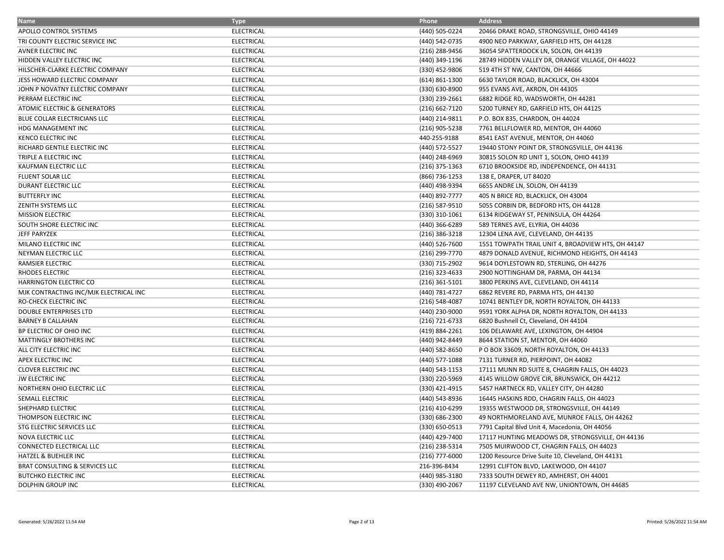| <b>Name</b>                            | <b>Type</b>       | Phone              | <b>Address</b>                                     |
|----------------------------------------|-------------------|--------------------|----------------------------------------------------|
| APOLLO CONTROL SYSTEMS                 | <b>ELECTRICAL</b> | (440) 505-0224     | 20466 DRAKE ROAD, STRONGSVILLE, OHIO 44149         |
| TRI COUNTY ELECTRIC SERVICE INC        | <b>ELECTRICAL</b> | (440) 542-0735     | 4900 NEO PARKWAY, GARFIELD HTS, OH 44128           |
| <b>AVNER ELECTRIC INC</b>              | <b>ELECTRICAL</b> | (216) 288-9456     | 36054 SPATTERDOCK LN, SOLON, OH 44139              |
| HIDDEN VALLEY ELECTRIC INC             | <b>ELECTRICAL</b> | (440) 349-1196     | 28749 HIDDEN VALLEY DR, ORANGE VILLAGE, OH 44022   |
| HILSCHER-CLARKE ELECTRIC COMPANY       | <b>ELECTRICAL</b> | (330) 452-9806     | 519 4TH ST NW, CANTON, OH 44666                    |
| JESS HOWARD ELECTRIC COMPANY           | <b>ELECTRICAL</b> | $(614) 861 - 1300$ | 6630 TAYLOR ROAD, BLACKLICK, OH 43004              |
| JOHN P NOVATNY ELECTRIC COMPANY        | <b>ELECTRICAL</b> | (330) 630-8900     | 955 EVANS AVE, AKRON, OH 44305                     |
| PERRAM ELECTRIC INC                    | <b>ELECTRICAL</b> | (330) 239-2661     | 6882 RIDGE RD, WADSWORTH, OH 44281                 |
| ATOMIC ELECTRIC & GENERATORS           | <b>ELECTRICAL</b> | (216) 662-7120     | 5200 TURNEY RD, GARFIELD HTS, OH 44125             |
| BLUE COLLAR ELECTRICIANS LLC           | <b>ELECTRICAL</b> | (440) 214-9811     | P.O. BOX 835, CHARDON, OH 44024                    |
| HDG MANAGEMENT INC                     | <b>ELECTRICAL</b> | (216) 905-5238     | 7761 BELLFLOWER RD, MENTOR, OH 44060               |
| <b>KENCO ELECTRIC INC</b>              | <b>ELECTRICAL</b> | 440-255-9188       | 8541 EAST AVENUE, MENTOR, OH 44060                 |
| RICHARD GENTILE ELECTRIC INC           | <b>ELECTRICAL</b> | (440) 572-5527     | 19440 STONY POINT DR, STRONGSVILLE, OH 44136       |
| TRIPLE A ELECTRIC INC                  | <b>ELECTRICAL</b> | (440) 248-6969     | 30815 SOLON RD UNIT 1, SOLON, OHIO 44139           |
| KAUFMAN ELECTRIC LLC                   | <b>ELECTRICAL</b> | $(216)$ 375-1363   | 6710 BROOKSIDE RD, INDEPENDENCE, OH 44131          |
| FLUENT SOLAR LLC                       | <b>ELECTRICAL</b> | (866) 736-1253     | 138 E, DRAPER, UT 84020                            |
| DURANT ELECTRIC LLC                    | <b>ELECTRICAL</b> | (440) 498-9394     | 6655 ANDRE LN, SOLON, OH 44139                     |
| <b>BUTTERFLY INC</b>                   | <b>ELECTRICAL</b> | (440) 892-7777     | 405 N BRICE RD, BLACKLICK, OH 43004                |
| ZENITH SYSTEMS LLC                     | <b>ELECTRICAL</b> | (216) 587-9510     | 5055 CORBIN DR, BEDFORD HTS, OH 44128              |
| <b>MISSION ELECTRIC</b>                | <b>ELECTRICAL</b> | (330) 310-1061     | 6134 RIDGEWAY ST, PENINSULA, OH 44264              |
| SOUTH SHORE ELECTRIC INC               | <b>ELECTRICAL</b> | (440) 366-6289     | 589 TERNES AVE, ELYRIA, OH 44036                   |
| <b>JEFF PARYZEK</b>                    | <b>ELECTRICAL</b> | $(216)$ 386-3218   | 12304 LENA AVE, CLEVELAND, OH 44135                |
| MILANO ELECTRIC INC                    | <b>ELECTRICAL</b> | (440) 526-7600     | 1551 TOWPATH TRAIL UNIT 4, BROADVIEW HTS, OH 44147 |
| NEYMAN ELECTRIC LLC                    | <b>ELECTRICAL</b> | (216) 299-7770     | 4879 DONALD AVENUE, RICHMOND HEIGHTS, OH 44143     |
| <b>RAMSIER ELECTRIC</b>                | <b>ELECTRICAL</b> | (330) 715-2902     | 9614 DOYLESTOWN RD, STERLING, OH 44276             |
| <b>RHODES ELECTRIC</b>                 | <b>ELECTRICAL</b> | $(216)$ 323-4633   | 2900 NOTTINGHAM DR, PARMA, OH 44134                |
| <b>HARRINGTON ELECTRIC CO</b>          | <b>ELECTRICAL</b> | $(216)$ 361-5101   | 3800 PERKINS AVE, CLEVELAND, OH 44114              |
| MJK CONTRACTING INC/MJK ELECTRICAL INC | <b>ELECTRICAL</b> | (440) 781-4727     | 6862 REVERE RD, PARMA HTS, OH 44130                |
| RO-CHECK ELECTRIC INC                  | <b>ELECTRICAL</b> | $(216) 548 - 4087$ | 10741 BENTLEY DR, NORTH ROYALTON, OH 44133         |
| <b>DOUBLE ENTERPRISES LTD</b>          | <b>ELECTRICAL</b> | (440) 230-9000     | 9591 YORK ALPHA DR, NORTH ROYALTON, OH 44133       |
| <b>BARNEY B CALLAHAN</b>               | <b>ELECTRICAL</b> | (216) 721-6733     | 6820 Bushnell Ct, Cleveland, OH 44104              |
| BP ELECTRIC OF OHIO INC                | <b>ELECTRICAL</b> | (419) 884-2261     | 106 DELAWARE AVE, LEXINGTON, OH 44904              |
| <b>MATTINGLY BROTHERS INC</b>          | <b>ELECTRICAL</b> | (440) 942-8449     | 8644 STATION ST, MENTOR, OH 44060                  |
| ALL CITY ELECTRIC INC                  | <b>ELECTRICAL</b> | (440) 582-8650     | P O BOX 33609, NORTH ROYALTON, OH 44133            |
| APEX ELECTRIC INC                      | <b>ELECTRICAL</b> | (440) 577-1088     | 7131 TURNER RD, PIERPOINT, OH 44082                |
| <b>CLOVER ELECTRIC INC</b>             | <b>ELECTRICAL</b> | (440) 543-1153     | 17111 MUNN RD SUITE 8, CHAGRIN FALLS, OH 44023     |
| <b>JW ELECTRIC INC</b>                 | <b>ELECTRICAL</b> | (330) 220-5969     | 4145 WILLOW GROVE CIR, BRUNSWICK, OH 44212         |
| NORTHERN OHIO ELECTRIC LLC             | <b>ELECTRICAL</b> | (330) 421-4915     | 5457 HARTNECK RD, VALLEY CITY, OH 44280            |
| <b>SEMALL ELECTRIC</b>                 | <b>ELECTRICAL</b> | (440) 543-8936     | 16445 HASKINS RDD, CHAGRIN FALLS, OH 44023         |
| SHEPHARD ELECTRIC                      | <b>ELECTRICAL</b> | (216) 410-6299     | 19355 WESTWOOD DR, STRONGSVILLE, OH 44149          |
| THOMPSON ELECTRIC INC                  | <b>ELECTRICAL</b> | (330) 686-2300     | 49 NORTHMORELAND AVE, MUNROE FALLS, OH 44262       |
| STG ELECTRIC SERVICES LLC              | <b>ELECTRICAL</b> | (330) 650-0513     | 7791 Capital Blvd Unit 4, Macedonia, OH 44056      |
| <b>NOVA ELECTRIC LLC</b>               | <b>ELECTRICAL</b> | (440) 429-7400     | 17117 HUNTING MEADOWS DR, STRONGSVILLE, OH 44136   |
| <b>CONNECTED ELECTRICAL LLC</b>        | <b>ELECTRICAL</b> | (216) 238-5314     | 7505 MUIRWOOD CT, CHAGRIN FALLS, OH 44023          |
| HATZEL & BUEHLER INC                   | <b>ELECTRICAL</b> | $(216)$ 777-6000   | 1200 Resource Drive Suite 10, Cleveland, OH 44131  |
| BRAT CONSULTING & SERVICES LLC         | <b>ELECTRICAL</b> | 216-396-8434       | 12991 CLIFTON BLVD, LAKEWOOD, OH 44107             |
| <b>BUTCHKO ELECTRIC INC</b>            | <b>ELECTRICAL</b> | (440) 985-3180     | 7333 SOUTH DEWEY RD, AMHERST, OH 44001             |
| <b>DOLPHIN GROUP INC</b>               | <b>ELECTRICAL</b> | (330) 490-2067     | 11197 CLEVELAND AVE NW, UNIONTOWN, OH 44685        |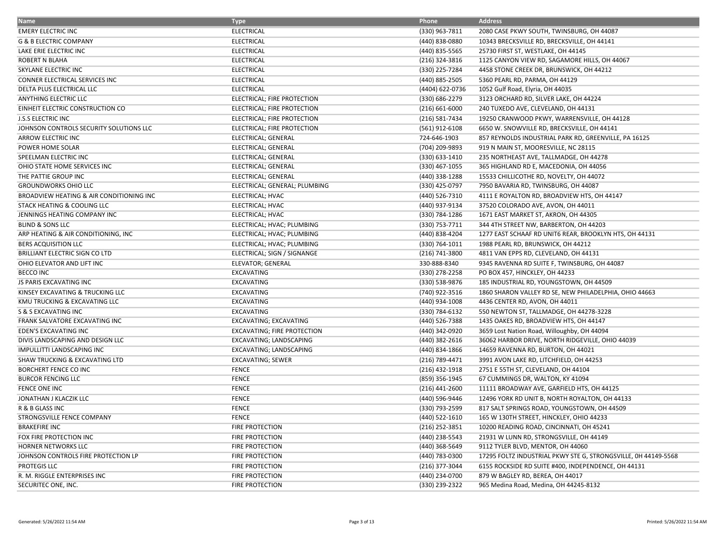| <b>Name</b>                              | <b>Type</b>                        | Phone              | <b>Address</b>                                                 |
|------------------------------------------|------------------------------------|--------------------|----------------------------------------------------------------|
| <b>EMERY ELECTRIC INC</b>                | <b>ELECTRICAL</b>                  | (330) 963-7811     | 2080 CASE PKWY SOUTH, TWINSBURG, OH 44087                      |
| <b>G &amp; B ELECTRIC COMPANY</b>        | <b>ELECTRICAL</b>                  | (440) 838-0880     | 10343 BRECKSVILLE RD, BRECKSVILLE, OH 44141                    |
| LAKE ERIE ELECTRIC INC                   | <b>ELECTRICAL</b>                  | (440) 835-5565     | 25730 FIRST ST, WESTLAKE, OH 44145                             |
| ROBERT N BLAHA                           | <b>ELECTRICAL</b>                  | (216) 324-3816     | 1125 CANYON VIEW RD, SAGAMORE HILLS, OH 44067                  |
| SKYLANE ELECTRIC INC                     | <b>ELECTRICAL</b>                  | (330) 225-7284     | 4458 STONE CREEK DR, BRUNSWICK, OH 44212                       |
| CONNER ELECTRICAL SERVICES INC           | <b>ELECTRICAL</b>                  | (440) 885-2505     | 5360 PEARL RD, PARMA, OH 44129                                 |
| DELTA PLUS ELECTRICAL LLC                | <b>ELECTRICAL</b>                  | (4404) 622-0736    | 1052 Gulf Road, Elyria, OH 44035                               |
| ANYTHING ELECTRIC LLC                    | ELECTRICAL; FIRE PROTECTION        | (330) 686-2279     | 3123 ORCHARD RD, SILVER LAKE, OH 44224                         |
| EINHEIT ELECTRIC CONSTRUCTION CO         | ELECTRICAL; FIRE PROTECTION        | $(216) 661 - 6000$ | 240 TUXEDO AVE, CLEVELAND, OH 44131                            |
| <b>J.S.S ELECTRIC INC</b>                | ELECTRICAL; FIRE PROTECTION        | (216) 581-7434     | 19250 CRANWOOD PKWY, WARRENSVILLE, OH 44128                    |
| JOHNSON CONTROLS SECURITY SOLUTIONS LLC  | ELECTRICAL; FIRE PROTECTION        | (561) 912-6108     | 6650 W. SNOWVILLE RD, BRECKSVILLE, OH 44141                    |
| ARROW ELECTRIC INC                       | ELECTRICAL; GENERAL                | 724-646-1903       | 857 REYNOLDS INDUSTRIAL PARK RD, GREENVILLE, PA 16125          |
| POWER HOME SOLAR                         | ELECTRICAL; GENERAL                | (704) 209-9893     | 919 N MAIN ST, MOORESVILLE, NC 28115                           |
| SPEELMAN ELECTRIC INC                    | ELECTRICAL; GENERAL                | (330) 633-1410     | 235 NORTHEAST AVE, TALLMADGE, OH 44278                         |
| OHIO STATE HOME SERVICES INC             | ELECTRICAL; GENERAL                | (330) 467-1055     | 365 HIGHLAND RD E, MACEDONIA, OH 44056                         |
| THE PATTIE GROUP INC                     | ELECTRICAL; GENERAL                | (440) 338-1288     | 15533 CHILLICOTHE RD, NOVELTY, OH 44072                        |
| <b>GROUNDWORKS OHIO LLC</b>              | ELECTRICAL; GENERAL; PLUMBING      | (330) 425-0797     | 7950 BAVARIA RD, TWINSBURG, OH 44087                           |
| BROADVIEW HEATING & AIR CONDITIONING INC | ELECTRICAL; HVAC                   | (440) 526-7310     | 4111 E ROYALTON RD, BROADVIEW HTS, OH 44147                    |
| STACK HEATING & COOLING LLC              | <b>ELECTRICAL; HVAC</b>            | (440) 937-9134     | 37520 COLORADO AVE, AVON, OH 44011                             |
| JENNINGS HEATING COMPANY INC             | ELECTRICAL; HVAC                   | (330) 784-1286     | 1671 EAST MARKET ST, AKRON, OH 44305                           |
| <b>BLIND &amp; SONS LLC</b>              | ELECTRICAL; HVAC; PLUMBING         | (330) 753-7711     | 344 4TH STREET NW, BARBERTON, OH 44203                         |
| ARP HEATING & AIR CONDITIONING, INC      | ELECTRICAL; HVAC; PLUMBING         | (440) 838-4204     | 1277 EAST SCHAAF RD UNIT6 REAR, BROOKLYN HTS, OH 44131         |
| <b>BERS ACQUISITION LLC</b>              | ELECTRICAL; HVAC; PLUMBING         | (330) 764-1011     | 1988 PEARL RD, BRUNSWICK, OH 44212                             |
| BRILLIANT ELECTRIC SIGN CO LTD           | ELECTRICAL; SIGN / SIGNANGE        | (216) 741-3800     | 4811 VAN EPPS RD, CLEVELAND, OH 44131                          |
| OHIO ELEVATOR AND LIFT INC               | <b>ELEVATOR; GENERAL</b>           | 330-888-8340       | 9345 RAVENNA RD SUITE F, TWINSBURG, OH 44087                   |
| <b>BECCO INC</b>                         | EXCAVATING                         | (330) 278-2258     | PO BOX 457, HINCKLEY, OH 44233                                 |
| JS PARIS EXCAVATING INC                  | EXCAVATING                         | (330) 538-9876     | 185 INDUSTRIAL RD, YOUNGSTOWN, OH 44509                        |
| KINSEY EXCAVATING & TRUCKING LLC         | <b>EXCAVATING</b>                  | (740) 922-3516     | 1860 SHARON VALLEY RD SE, NEW PHILADELPHIA, OHIO 44663         |
| KMU TRUCKING & EXCAVATING LLC            | EXCAVATING                         | (440) 934-1008     | 4436 CENTER RD, AVON, OH 44011                                 |
| S & S EXCAVATING INC                     | EXCAVATING                         | (330) 784-6132     | 550 NEWTON ST, TALLMADGE, OH 44278-3228                        |
| FRANK SALVATORE EXCAVATING INC           | EXCAVATING; EXCAVATING             | (440) 526-7388     | 1435 OAKES RD, BROADVIEW HTS, OH 44147                         |
| <b>EDEN'S EXCAVATING INC</b>             | <b>EXCAVATING; FIRE PROTECTION</b> | (440) 342-0920     | 3659 Lost Nation Road, Willoughby, OH 44094                    |
| DIVIS LANDSCAPING AND DESIGN LLC         | EXCAVATING; LANDSCAPING            | (440) 382-2616     | 36062 HARBOR DRIVE, NORTH RIDGEVILLE, OHIO 44039               |
| IMPULLITTI LANDSCAPING INC               | EXCAVATING; LANDSCAPING            | (440) 834-1866     | 14659 RAVENNA RD, BURTON, OH 44021                             |
| SHAW TRUCKING & EXCAVATING LTD           | <b>EXCAVATING; SEWER</b>           | (216) 789-4471     | 3991 AVON LAKE RD, LITCHFIELD, OH 44253                        |
| <b>BORCHERT FENCE CO INC</b>             | <b>FENCE</b>                       | (216) 432-1918     | 2751 E 55TH ST, CLEVELAND, OH 44104                            |
| <b>BURCOR FENCING LLC</b>                | <b>FENCE</b>                       | (859) 356-1945     | 67 CUMMINGS DR, WALTON, KY 41094                               |
| <b>FENCE ONE INC</b>                     | <b>FENCE</b>                       | $(216)$ 441-2600   | 11111 BROADWAY AVE, GARFIELD HTS, OH 44125                     |
| JONATHAN J KLACZIK LLC                   | <b>FENCE</b>                       | (440) 596-9446     | 12496 YORK RD UNIT B, NORTH ROYALTON, OH 44133                 |
| R & B GLASS INC                          | <b>FENCE</b>                       | (330) 793-2599     | 817 SALT SPRINGS ROAD, YOUNGSTOWN, OH 44509                    |
| STRONGSVILLE FENCE COMPANY               | <b>FENCE</b>                       | (440) 522-1610     | 165 W 130TH STREET, HINCKLEY, OHIO 44233                       |
| <b>BRAKEFIRE INC</b>                     | <b>FIRE PROTECTION</b>             | $(216)$ 252-3851   | 10200 READING ROAD, CINCINNATI, OH 45241                       |
| FOX FIRE PROTECTION INC                  | <b>FIRE PROTECTION</b>             | (440) 238-5543     | 21931 W LUNN RD, STRONGSVILLE, OH 44149                        |
| HORNER NETWORKS LLC                      | <b>FIRE PROTECTION</b>             | (440) 368-5649     | 9112 TYLER BLVD, MENTOR, OH 44060                              |
| JOHNSON CONTROLS FIRE PROTECTION LP      | <b>FIRE PROTECTION</b>             | (440) 783-0300     | 17295 FOLTZ INDUSTRIAL PKWY STE G, STRONGSVILLE, 0H 44149-5568 |
| PROTEGIS LLC                             | <b>FIRE PROTECTION</b>             | (216) 377-3044     | 6155 ROCKSIDE RD SUITE #400, INDEPENDENCE, OH 44131            |
| R. M. RIGGLE ENTERPRISES INC             | <b>FIRE PROTECTION</b>             | (440) 234-0700     | 879 W BAGLEY RD, BEREA, OH 44017                               |
| SECURITEC ONE, INC.                      | <b>FIRE PROTECTION</b>             | (330) 239-2322     | 965 Medina Road, Medina, OH 44245-8132                         |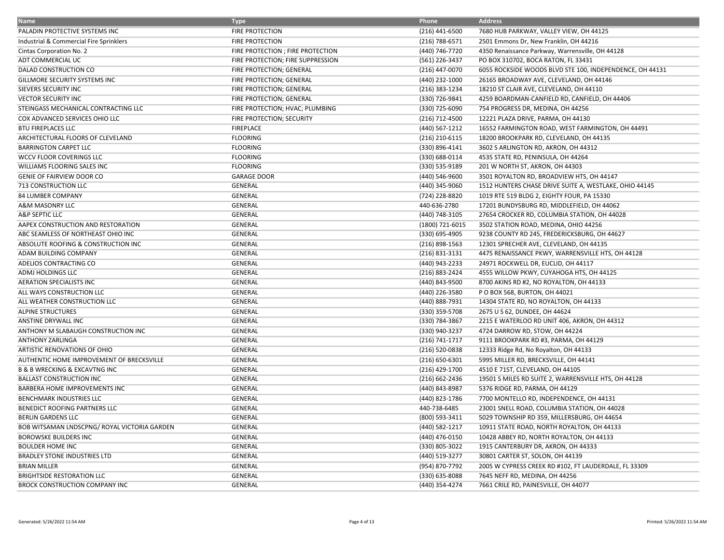| <b>Name</b>                                  | <b>Type</b>                       | Phone              | <b>Address</b>                                           |
|----------------------------------------------|-----------------------------------|--------------------|----------------------------------------------------------|
| PALADIN PROTECTIVE SYSTEMS INC               | <b>FIRE PROTECTION</b>            | (216) 441-6500     | 7680 HUB PARKWAY, VALLEY VIEW, OH 44125                  |
| Industrial & Commercial Fire Sprinklers      | <b>FIRE PROTECTION</b>            | (216) 788-6571     | 2501 Emmons Dr, New Franklin, OH 44216                   |
| Cintas Corporation No. 2                     | FIRE PROTECTION ; FIRE PROTECTION | (440) 746-7720     | 4350 Renaissance Parkway, Warrensville, OH 44128         |
| ADT COMMERCIAL UC                            | FIRE PROTECTION; FIRE SUPPRESSION | (561) 226-3437     | PO BOX 310702, BOCA RATON, FL 33431                      |
| DALAD CONSTRUCTION CO                        | FIRE PROTECTION; GENERAL          | (216) 447-0070     | 6055 ROCKSIDE WOODS BLVD STE 100, INDEPENDENCE, OH 44131 |
| GILLMORE SECURITY SYSTEMS INC                | FIRE PROTECTION; GENERAL          | (440) 232-1000     | 26165 BROADWAY AVE, CLEVELAND, OH 44146                  |
| SIEVERS SECURITY INC                         | FIRE PROTECTION; GENERAL          | (216) 383-1234     | 18210 ST CLAIR AVE, CLEVELAND, OH 44110                  |
| <b>VECTOR SECURITY INC</b>                   | FIRE PROTECTION; GENERAL          | (330) 726-9841     | 4259 BOARDMAN-CANFIELD RD, CANFIELD, OH 44406            |
| STEINGASS MECHANICAL CONTRACTING LLC         | FIRE PROTECTION; HVAC; PLUMBING   | (330) 725-6090     | 754 PROGRESS DR, MEDINA, OH 44256                        |
| COX ADVANCED SERVICES OHIO LLC               | FIRE PROTECTION; SECURITY         | (216) 712-4500     | 12221 PLAZA DRIVE, PARMA, OH 44130                       |
| <b>BTU FIREPLACES LLC</b>                    | <b>FIREPLACE</b>                  | (440) 567-1212     | 16552 FARMINGTON ROAD, WEST FARMINGTON, OH 44491         |
| ARCHITECTURAL FLOORS OF CLEVELAND            | <b>FLOORING</b>                   | (216) 210-6115     | 18200 BROOKPARK RD, CLEVELAND, OH 44135                  |
| <b>BARRINGTON CARPET LLC</b>                 | <b>FLOORING</b>                   | (330) 896-4141     | 3602 S ARLINGTON RD, AKRON, OH 44312                     |
| WCCV FLOOR COVERINGS LLC                     | <b>FLOORING</b>                   | (330) 688-0114     | 4535 STATE RD, PENINSULA, OH 44264                       |
| WILLIAMS FLOORING SALES INC                  | <b>FLOORING</b>                   | (330) 535-9189     | 201 W NORTH ST, AKRON, OH 44303                          |
| <b>GENIE OF FAIRVIEW DOOR CO</b>             | <b>GARAGE DOOR</b>                | (440) 546-9600     | 3501 ROYALTON RD, BROADVIEW HTS, OH 44147                |
| 713 CONSTRUCTION LLC                         | GENERAL                           | (440) 345-9060     | 1512 HUNTERS CHASE DRIVE SUITE A, WESTLAKE, OHIO 44145   |
| 84 LUMBER COMPANY                            | <b>GENERAL</b>                    | (724) 228-8820     | 1019 RTE 519 BLDG 2, EIGHTY FOUR, PA 15330               |
| A&M MASONRY LLC                              | <b>GENERAL</b>                    | 440-636-2780       | 17201 BUNDYSBURG RD, MIDDLEFIELD, OH 44062               |
| A&P SEPTIC LLC                               | <b>GENERAL</b>                    | (440) 748-3105     | 27654 CROCKER RD, COLUMBIA STATION, OH 44028             |
| AAPEX CONSTRUCTION AND RESTORATION           | GENERAL                           | (1800) 721-6015    | 3502 STATION ROAD, MEDINA, OHIO 44256                    |
| ABC SEAMLESS OF NORTHEAST OHIO INC           | GENERAL                           | (330) 695-4905     | 9238 COUNTY RD 245, FREDERICKSBURG, OH 44627             |
| ABSOLUTE ROOFING & CONSTRUCTION INC          | GENERAL                           | (216) 898-1563     | 12301 SPRECHER AVE, CLEVELAND, OH 44135                  |
| ADAM BUILDING COMPANY                        | GENERAL                           | (216) 831-3131     | 4475 RENAISSANCE PKWY, WARRENSVILLE HTS, OH 44128        |
| ADELIOS CONTRACTING CO                       | GENERAL                           | (440) 943-2233     | 24971 ROCKWELL DR, EUCLID, OH 44117                      |
| ADMJ HOLDINGS LLC                            | <b>GENERAL</b>                    | (216) 883-2424     | 4555 WILLOW PKWY, CUYAHOGA HTS, OH 44125                 |
| <b>AERATION SPECIALISTS INC</b>              | GENERAL                           | (440) 843-9500     | 8700 AKINS RD #2, NO ROYALTON, OH 44133                  |
| ALL WAYS CONSTRUCTION LLC                    | <b>GENERAL</b>                    | (440) 226-3580     | P O BOX 568, BURTON, OH 44021                            |
| ALL WEATHER CONSTRUCTION LLC                 | <b>GENERAL</b>                    | (440) 888-7931     | 14304 STATE RD, NO ROYALTON, OH 44133                    |
| <b>ALPINE STRUCTURES</b>                     | <b>GENERAL</b>                    | (330) 359-5708     | 2675 U S 62, DUNDEE, OH 44624                            |
| ANSTINE DRYWALL INC                          | <b>GENERAL</b>                    | (330) 784-3867     | 2215 E WATERLOO RD UNIT 406, AKRON, OH 44312             |
| ANTHONY M SLABAUGH CONSTRUCTION INC          | <b>GENERAL</b>                    | (330) 940-3237     | 4724 DARROW RD, STOW, OH 44224                           |
| <b>ANTHONY ZARLINGA</b>                      | GENERAL                           | (216) 741-1717     | 9111 BROOKPARK RD #3, PARMA, OH 44129                    |
| ARTISTIC RENOVATIONS OF OHIO                 | GENERAL                           | (216) 520-0838     | 12333 Ridge Rd, No Royalton, OH 44133                    |
| AUTHENTIC HOME IMPROVEMENT OF BRECKSVILLE    | <b>GENERAL</b>                    | $(216) 650 - 6301$ | 5995 MILLER RD, BRECKSVILLE, OH 44141                    |
| <b>B &amp; B WRECKING &amp; EXCAVTNG INC</b> | <b>GENERAL</b>                    | (216) 429-1700     | 4510 E 71ST, CLEVELAND, OH 44105                         |
| <b>BALLAST CONSTRUCTION INC</b>              | <b>GENERAL</b>                    | (216) 662-2436     | 19501 S MILES RD SUITE 2, WARRENSVILLE HTS, OH 44128     |
| <b>BARBERA HOME IMPROVEMENTS INC</b>         | <b>GENERAL</b>                    | (440) 843-8987     | 5376 RIDGE RD, PARMA, OH 44129                           |
| BENCHMARK INDUSTRIES LLC                     | <b>GENERAL</b>                    | (440) 823-1786     | 7700 MONTELLO RD, INDEPENDENCE, OH 44131                 |
| BENEDICT ROOFING PARTNERS LLC                | <b>GENERAL</b>                    | 440-738-6485       | 23001 SNELL ROAD, COLUMBIA STATION, OH 44028             |
| <b>BERLIN GARDENS LLC</b>                    | <b>GENERAL</b>                    | (800) 593-3411     | 5029 TOWNSHIP RD 359, MILLERSBURG, OH 44654              |
| BOB WITSAMAN LNDSCPNG/ROYAL VICTORIA GARDEN  | GENERAL                           | (440) 582-1217     | 10911 STATE ROAD, NORTH ROYALTON, OH 44133               |
| <b>BOROWSKE BUILDERS INC</b>                 | <b>GENERAL</b>                    | (440) 476-0150     | 10428 ABBEY RD, NORTH ROYALTON, OH 44133                 |
| <b>BOULDER HOME INC</b>                      | <b>GENERAL</b>                    | (330) 805-3022     | 1915 CANTERBURY DR, AKRON, OH 44333                      |
| <b>BRADLEY STONE INDUSTRIES LTD</b>          | GENERAL                           | (440) 519-3277     | 30801 CARTER ST, SOLON, OH 44139                         |
| <b>BRIAN MILLER</b>                          | GENERAL                           | (954) 870-7792     | 2005 W CYPRESS CREEK RD #102, FT LAUDERDALE, FL 33309    |
| <b>BRIGHTSIDE RESTORATION LLC</b>            | GENERAL                           | (330) 635-8088     | 7645 NEFF RD, MEDINA, OH 44256                           |
| <b>BROCK CONSTRUCTION COMPANY INC</b>        | GENERAL                           | (440) 354-4274     | 7661 CRILE RD, PAINESVILLE, OH 44077                     |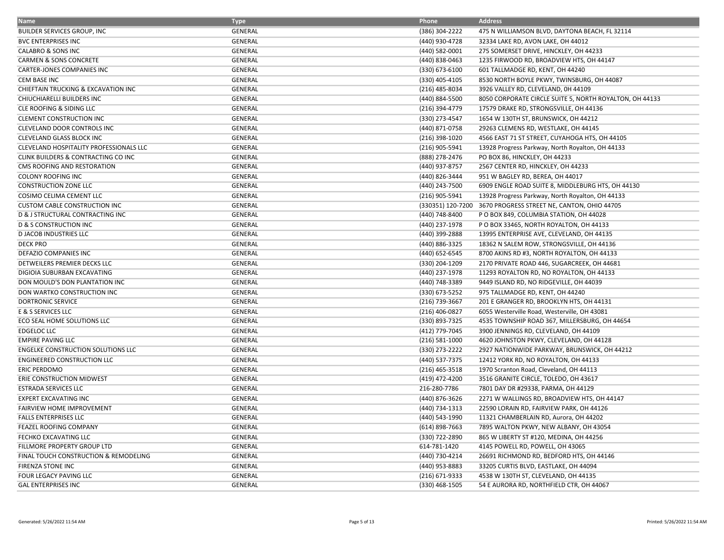| <b>Name</b>                               | <b>Type</b>    | Phone              | <b>Address</b>                                          |
|-------------------------------------------|----------------|--------------------|---------------------------------------------------------|
| <b>BUILDER SERVICES GROUP, INC</b>        | GENERAL        | (386) 304-2222     | 475 N WILLIAMSON BLVD, DAYTONA BEACH, FL 32114          |
| <b>BVC ENTERPRISES INC</b>                | <b>GENERAL</b> | (440) 930-4728     | 32334 LAKE RD, AVON LAKE, OH 44012                      |
| CALABRO & SONS INC                        | GENERAL        | (440) 582-0001     | 275 SOMERSET DRIVE, HINCKLEY, OH 44233                  |
| CARMEN & SONS CONCRETE                    | <b>GENERAL</b> | (440) 838-0463     | 1235 FIRWOOD RD, BROADVIEW HTS, OH 44147                |
| <b>CARTER-JONES COMPANIES INC</b>         | <b>GENERAL</b> | (330) 673-6100     | 601 TALLMADGE RD, KENT, OH 44240                        |
| <b>CEM BASE INC</b>                       | GENERAL        | (330) 405-4105     | 8530 NORTH BOYLE PKWY, TWINSBURG, OH 44087              |
| CHIEFTAIN TRUCKING & EXCAVATION INC       | GENERAL        | (216) 485-8034     | 3926 VALLEY RD, CLEVELAND, 0H 44109                     |
| CHIUCHIARELLI BUILDERS INC                | <b>GENERAL</b> | (440) 884-5500     | 8050 CORPORATE CIRCLE SUITE 5, NORTH ROYALTON, OH 44133 |
| CLE ROOFING & SIDING LLC                  | GENERAL        | (216) 394-4779     | 17579 DRAKE RD, STRONGSVILLE, OH 44136                  |
| <b>CLEMENT CONSTRUCTION INC</b>           | GENERAL        | (330) 273-4547     | 1654 W 130TH ST, BRUNSWICK, OH 44212                    |
| CLEVELAND DOOR CONTROLS INC               | <b>GENERAL</b> | (440) 871-0758     | 29263 CLEMENS RD, WESTLAKE, OH 44145                    |
| CLEVELAND GLASS BLOCK INC                 | GENERAL        | (216) 398-1020     | 4566 EAST 71 ST STREET, CUYAHOGA HTS, OH 44105          |
| CLEVELAND HOSPITALITY PROFESSIONALS LLC   | GENERAL        | (216) 905-5941     | 13928 Progress Parkway, North Royalton, OH 44133        |
| CLINK BUILDERS & CONTRACTING CO INC       | <b>GENERAL</b> | (888) 278-2476     | PO BOX 86, HINCKLEY, OH 44233                           |
| CMS ROOFING AND RESTORATION               | <b>GENERAL</b> | (440) 937-8757     | 2567 CENTER RD, HINCKLEY, OH 44233                      |
| <b>COLONY ROOFING INC</b>                 | GENERAL        | (440) 826-3444     | 951 W BAGLEY RD, BEREA, OH 44017                        |
| <b>CONSTRUCTION ZONE LLC</b>              | GENERAL        | (440) 243-7500     | 6909 ENGLE ROAD SUITE 8, MIDDLEBURG HTS, OH 44130       |
| COSIMO CELIMA CEMENT LLC                  | GENERAL        | (216) 905-5941     | 13928 Progress Parkway, North Royalton, OH 44133        |
| <b>CUSTOM CABLE CONSTRUCTION INC</b>      | GENERAL        | (330351) 120-7200  | 3670 PROGRESS STREET NE, CANTON, OHIO 44705             |
| D & J STRUCTURAL CONTRACTING INC          | GENERAL        | (440) 748-8400     | P O BOX 849, COLUMBIA STATION, OH 44028                 |
| <b>D &amp; S CONSTRUCTION INC</b>         | <b>GENERAL</b> | (440) 237-1978     | P O BOX 33465, NORTH ROYALTON, OH 44133                 |
| <b>D JACOB INDUSTRIES LLC</b>             | GENERAL        | (440) 399-2888     | 13995 ENTERPRISE AVE, CLEVELAND, OH 44135               |
| <b>DECK PRO</b>                           | GENERAL        | (440) 886-3325     | 18362 N SALEM ROW, STRONGSVILLE, OH 44136               |
| DEFAZIO COMPANIES INC                     | <b>GENERAL</b> | (440) 652-6545     | 8700 AKINS RD #3, NORTH ROYALTON, OH 44133              |
| DETWEILERS PREMIER DECKS LLC              | <b>GENERAL</b> | (330) 204-1209     | 2170 PRIVATE ROAD 446, SUGARCREEK, OH 44681             |
| DIGIOIA SUBURBAN EXCAVATING               | <b>GENERAL</b> | (440) 237-1978     | 11293 ROYALTON RD, NO ROYALTON, OH 44133                |
| DON MOULD'S DON PLANTATION INC            | GENERAL        | (440) 748-3389     | 9449 ISLAND RD, NO RIDGEVILLE, OH 44039                 |
| DON WARTKO CONSTRUCTION INC               | <b>GENERAL</b> | (330) 673-5252     | 975 TALLMADGE RD, KENT, OH 44240                        |
| <b>DORTRONIC SERVICE</b>                  | GENERAL        | (216) 739-3667     | 201 E GRANGER RD, BROOKLYN HTS, OH 44131                |
| E & S SERVICES LLC                        | GENERAL        | (216) 406-0827     | 6055 Westerville Road, Westerville, OH 43081            |
| ECO SEAL HOME SOLUTIONS LLC               | <b>GENERAL</b> | (330) 893-7325     | 4535 TOWNSHIP ROAD 367, MILLERSBURG, OH 44654           |
| <b>EDGELOC LLC</b>                        | <b>GENERAL</b> | (412) 779-7045     | 3900 JENNINGS RD, CLEVELAND, OH 44109                   |
| <b>EMPIRE PAVING LLC</b>                  | GENERAL        | $(216) 581 - 1000$ | 4620 JOHNSTON PKWY, CLEVELAND, OH 44128                 |
| <b>ENGELKE CONSTRUCTION SOLUTIONS LLC</b> | GENERAL        | (330) 273-2222     | 2927 NATIONWIDE PARKWAY, BRUNSWICK, OH 44212            |
| <b>ENGINEERED CONSTRUCTION LLC</b>        | GENERAL        | (440) 537-7375     | 12412 YORK RD, NO ROYALTON, OH 44133                    |
| ERIC PERDOMO                              | GENERAL        | $(216)$ 465-3518   | 1970 Scranton Road, Cleveland, OH 44113                 |
| ERIE CONSTRUCTION MIDWEST                 | GENERAL        | (419) 472-4200     | 3516 GRANITE CIRCLE, TOLEDO, OH 43617                   |
| <b>ESTRADA SERVICES LLC</b>               | <b>GENERAL</b> | 216-280-7786       | 7801 DAY DR #29338, PARMA, OH 44129                     |
| <b>EXPERT EXCAVATING INC</b>              | GENERAL        | (440) 876-3626     | 2271 W WALLINGS RD, BROADVIEW HTS, OH 44147             |
| <b>FAIRVIEW HOME IMPROVEMENT</b>          | GENERAL        | (440) 734-1313     | 22590 LORAIN RD, FAIRVIEW PARK, OH 44126                |
| <b>FALLS ENTERPRISES LLC</b>              | GENERAL        | (440) 543-1990     | 11321 CHAMBERLAIN RD, Aurora, OH 44202                  |
| <b>FEAZEL ROOFING COMPANY</b>             | <b>GENERAL</b> | $(614)$ 898-7663   | 7895 WALTON PKWY, NEW ALBANY, OH 43054                  |
| FECHKO EXCAVATING LLC                     | GENERAL        | (330) 722-2890     | 865 W LIBERTY ST #120, MEDINA, OH 44256                 |
| FILLMORE PROPERTY GROUP LTD               | GENERAL        | 614-781-1420       | 4145 POWELL RD, POWELL, OH 43065                        |
| FINAL TOUCH CONSTRUCTION & REMODELING     | <b>GENERAL</b> | (440) 730-4214     | 26691 RICHMOND RD, BEDFORD HTS, OH 44146                |
| FIRENZA STONE INC                         | GENERAL        | (440) 953-8883     | 33205 CURTIS BLVD, EASTLAKE, OH 44094                   |
| FOUR LEGACY PAVING LLC                    | GENERAL        | (216) 671-9333     | 4538 W 130TH ST, CLEVELAND, OH 44135                    |
| <b>GAL ENTERPRISES INC</b>                | <b>GENERAL</b> | (330) 468-1505     | 54 E AURORA RD, NORTHFIELD CTR, OH 44067                |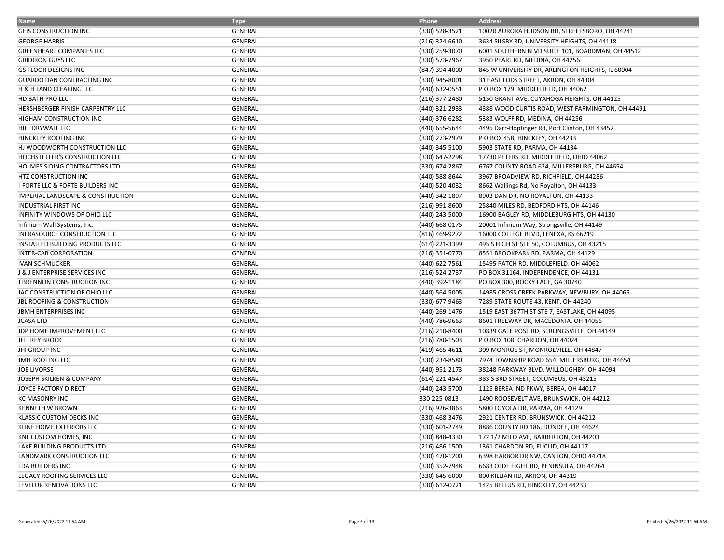| <b>Name</b>                                 | <b>Type</b>    | Phone            | <b>Address</b>                                   |
|---------------------------------------------|----------------|------------------|--------------------------------------------------|
| <b>GEIS CONSTRUCTION INC</b>                | GENERAL        | (330) 528-3521   | 10020 AURORA HUDSON RD, STREETSBORO, OH 44241    |
| <b>GEORGE HARRIS</b>                        | <b>GENERAL</b> | (216) 324-6610   | 3634 SILSBY RD, UNIVERSITY HEIGHTS, OH 44118     |
| <b>GREENHEART COMPANIES LLC</b>             | GENERAL        | (330) 259-3070   | 6001 SOUTHERN BLVD SUITE 101, BOARDMAN, OH 44512 |
| <b>GRIDIRON GUYS LLC</b>                    | GENERAL        | (330) 573-7967   | 3950 PEARL RD, MEDINA, OH 44256                  |
| <b>GS FLOOR DESIGNS INC</b>                 | <b>GENERAL</b> | (847) 394-4000   | 845 W UNIVERSITY DR, ARLINGTON HEIGHTS, IL 60004 |
| <b>GUARDO DAN CONTRACTING INC</b>           | GENERAL        | (330) 945-8001   | 31 EAST LODS STREET, AKRON, OH 44304             |
| H & H LAND CLEARING LLC                     | GENERAL        | (440) 632-0551   | P O BOX 179, MIDDLEFIELD, OH 44062               |
| HD BATH PRO LLC                             | <b>GENERAL</b> | (216) 377-2480   | 5150 GRANT AVE, CUYAHOGA HEIGHTS, OH 44125       |
| HERSHBERGER FINISH CARPENTRY LLC            | <b>GENERAL</b> | (440) 321-2933   | 4388 WOOD CURTIS ROAD, WEST FARMINGTON, OH 44491 |
| HIGHAM CONSTRUCTION INC                     | <b>GENERAL</b> | (440) 376-6282   | 5383 WOLFF RD, MEDINA, OH 44256                  |
| HILL DRYWALL LLC                            | <b>GENERAL</b> | (440) 655-5644   | 4495 Darr-Hopfinger Rd, Port Clinton, OH 43452   |
| HINCKLEY ROOFING INC                        | <b>GENERAL</b> | (330) 273-2979   | POBOX 458, HINCKLEY, OH 44233                    |
| HJ WOODWORTH CONSTRUCTION LLC               | <b>GENERAL</b> | (440) 345-5100   | 5903 STATE RD, PARMA, OH 44134                   |
| HOCHSTETLER'S CONSTRUCTION LLC              | GENERAL        | (330) 647-2298   | 17730 PETERS RD, MIDDLEFIELD, OHIO 44062         |
| <b>HOLMES SIDING CONTRACTORS LTD</b>        | <b>GENERAL</b> | (330) 674-2867   | 6767 COUNTY ROAD 624, MILLERSBURG, OH 44654      |
| HTZ CONSTRUCTION INC                        | GENERAL        | (440) 588-8644   | 3967 BROADVIEW RD, RICHFIELD, OH 44286           |
| <b>I-FORTE LLC &amp; FORTE BUILDERS INC</b> | <b>GENERAL</b> | (440) 520-4032   | 8662 Wallings Rd, No Royalton, OH 44133          |
| IMPERIAL LANDSCAPE & CONSTRUCTION           | GENERAL        | (440) 342-1897   | 8903 DAN DR, NO ROYALTON, OH 44133               |
| <b>INDUSTRIAL FIRST INC</b>                 | <b>GENERAL</b> | $(216)$ 991-8600 | 25840 MILES RD, BEDFORD HTS, OH 44146            |
| INFINITY WINDOWS OF OHIO LLC                | <b>GENERAL</b> | (440) 243-5000   | 16900 BAGLEY RD, MIDDLEBURG HTS, OH 44130        |
| Infinium Wall Systems, Inc.                 | <b>GENERAL</b> | (440) 668-0175   | 20001 Infinium Way, Strongsville, OH 44149       |
| INFRASOURCE CONSTRUCTION LLC                | <b>GENERAL</b> | (816) 469-9272   | 16000 COLLEGE BLVD, LENEXA, KS 66219             |
| INSTALLED BUILDING PRODUCTS LLC             | <b>GENERAL</b> | (614) 221-3399   | 495 S HIGH ST STE 50, COLUMBUS, OH 43215         |
| INTER-CAB CORPORATION                       | GENERAL        | (216) 351-0770   | 8551 BROOKPARK RD, PARMA, OH 44129               |
| <b>IVAN SCHMUCKER</b>                       | GENERAL        | (440) 622-7561   | 15495 PATCH RD, MIDDLEFIELD, OH 44062            |
| J & J ENTERPRISE SERVICES INC               | GENERAL        | (216) 524-2737   | PO BOX 31164, INDEPENDENCE, OH 44131             |
| J BRENNON CONSTRUCTION INC                  | GENERAL        | (440) 392-1184   | PO BOX 300, ROCKY FACE, GA 30740                 |
| JAC CONSTRUCTION OF OHIO LLC                | <b>GENERAL</b> | (440) 564-5005   | 14985 CROSS CREEK PARKWAY, NEWBURY, OH 44065     |
| <b>JBL ROOFING &amp; CONSTRUCTION</b>       | <b>GENERAL</b> | (330) 677-9463   | 7289 STATE ROUTE 43, KENT, OH 44240              |
| <b>JBMH ENTERPRISES INC</b>                 | GENERAL        | (440) 269-1476   | 1519 EAST 367TH ST STE 7, EASTLAKE, OH 44095     |
| <b>JCASA LTD</b>                            | GENERAL        | (440) 786-9663   | 8601 FREEWAY DR, MACEDONIA, OH 44056             |
| JDP HOME IMPROVEMENT LLC                    | <b>GENERAL</b> | (216) 210-8400   | 10839 GATE POST RD, STRONGSVILLE, OH 44149       |
| <b>JEFFREY BROCK</b>                        | GENERAL        | (216) 780-1503   | P O BOX 108, CHARDON, OH 44024                   |
| <b>JHI GROUP INC</b>                        | <b>GENERAL</b> | (419) 465-4611   | 309 MONROE ST, MONROEVILLE, OH 44847             |
| JMH ROOFING LLC                             | GENERAL        | (330) 234-8580   | 7974 TOWNSHIP ROAD 654, MILLERSBURG, OH 44654    |
| <b>JOE LIVORSE</b>                          | <b>GENERAL</b> | (440) 951-2173   | 38248 PARKWAY BLVD, WILLOUGHBY, OH 44094         |
| JOSEPH SKILKEN & COMPANY                    | GENERAL        | (614) 221-4547   | 383 S 3RD STREET, COLUMBUS, OH 43215             |
| JOYCE FACTORY DIRECT                        | <b>GENERAL</b> | (440) 243-5700   | 1125 BEREA IND PKWY, BEREA, OH 44017             |
| <b>KC MASONRY INC</b>                       | <b>GENERAL</b> | 330-225-0813     | 1490 ROOSEVELT AVE, BRUNSWICK, OH 44212          |
| <b>KENNETH W BROWN</b>                      | <b>GENERAL</b> | (216) 926-3863   | 5800 LOYOLA DR, PARMA, OH 44129                  |
| KLASSIC CUSTOM DECKS INC                    | <b>GENERAL</b> | (330) 468-3476   | 2921 CENTER RD, BRUNSWICK, OH 44212              |
| KLINE HOME EXTERIORS LLC                    | <b>GENERAL</b> | (330) 601-2749   | 8886 COUNTY RD 186, DUNDEE, OH 44624             |
| KNL CUSTOM HOMES, INC                       | GENERAL        | (330) 848-4330   | 172 1/2 MILO AVE, BARBERTON, OH 44203            |
| LAKE BUILDING PRODUCTS LTD                  | <b>GENERAL</b> | $(216)$ 486-1500 | 1361 CHARDON RD, EUCLID, OH 44117                |
| LANDMARK CONSTRUCTION LLC                   | GENERAL        | (330) 470-1200   | 6398 HARBOR DR NW, CANTON, OHIO 44718            |
| LDA BUILDERS INC                            | <b>GENERAL</b> | (330) 352-7948   | 6683 OLDE EIGHT RD, PENINSULA, OH 44264          |
| <b>LEGACY ROOFING SERVICES LLC</b>          | <b>GENERAL</b> | (330) 645-6000   | 800 KILLIAN RD, AKRON, OH 44319                  |
| LEVELUP RENOVATIONS LLC                     | GENERAL        | (330) 612-0721   | 1425 BELLUS RD, HINCKLEY, OH 44233               |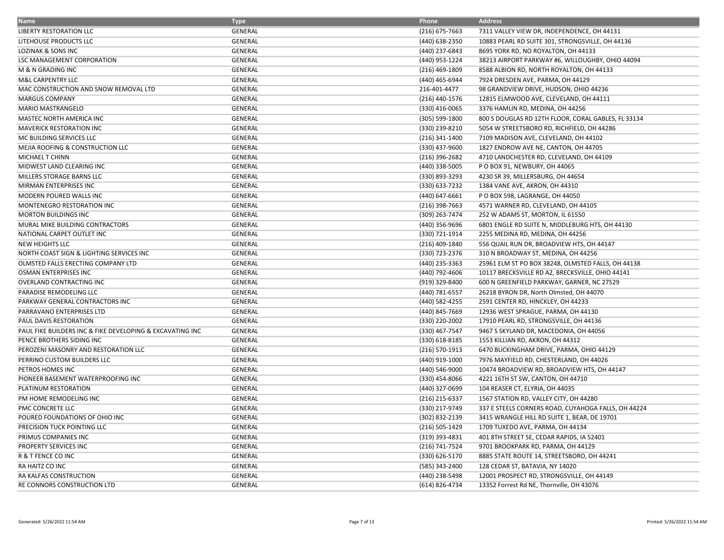| <b>Name</b>                                               | <b>Type</b>    | Phone            | <b>Address</b>                                      |
|-----------------------------------------------------------|----------------|------------------|-----------------------------------------------------|
| LIBERTY RESTORATION LLC                                   | GENERAL        | $(216)$ 675-7663 | 7311 VALLEY VIEW DR, INDEPENDENCE, OH 44131         |
| LITEHOUSE PRODUCTS LLC                                    | GENERAL        | (440) 638-2350   | 10883 PEARL RD SUITE 301, STRONGSVILLE, OH 44136    |
| LOZINAK & SONS INC                                        | <b>GENERAL</b> | (440) 237-6843   | 8695 YORK RD, NO ROYALTON, OH 44133                 |
| LSC MANAGEMENT CORPORATION                                | <b>GENERAL</b> | (440) 953-1224   | 38213 AIRPORT PARKWAY #6, WILLOUGHBY, OHIO 44094    |
| M & N GRADING INC                                         | GENERAL        | (216) 469-1809   | 8588 ALBION RD, NORTH ROYALTON, OH 44133            |
| M&L CARPENTRY LLC                                         | GENERAL        | (440) 465-6944   | 7924 DRESDEN AVE, PARMA, OH 44129                   |
| MAC CONSTRUCTION AND SNOW REMOVAL LTD                     | GENERAL        | 216-401-4477     | 98 GRANDVIEW DRIVE, HUDSON, OHIO 44236              |
| <b>MARGUS COMPANY</b>                                     | GENERAL        | (216) 440-1576   | 12815 ELMWOOD AVE, CLEVELAND, OH 44111              |
| MARIO MASTRANGELO                                         | GENERAL        | (330) 416-0065   | 3376 HAMLIN RD, MEDINA, OH 44256                    |
| MASTEC NORTH AMERICA INC                                  | <b>GENERAL</b> | (305) 599-1800   | 800 S DOUGLAS RD 12TH FLOOR, CORAL GABLES, FL 33134 |
| MAVERICK RESTORATION INC                                  | <b>GENERAL</b> | (330) 239-8210   | 5054 W STREETSBORO RD, RICHFIELD, OH 44286          |
| MC BUILDING SERVICES LLC                                  | GENERAL        | (216) 341-1400   | 7109 MADISON AVE, CLEVELAND, OH 44102               |
| MEJIA ROOFING & CONSTRUCTION LLC                          | <b>GENERAL</b> | (330) 437-9600   | 1827 ENDROW AVE NE, CANTON, OH 44705                |
| MICHAEL T CHINN                                           | <b>GENERAL</b> | (216) 396-2682   | 4710 LANDCHESTER RD, CLEVELAND, OH 44109            |
| MIDWEST LAND CLEARING INC                                 | GENERAL        | (440) 338-5005   | P O BOX 91, NEWBURY, OH 44065                       |
| MILLERS STORAGE BARNS LLC                                 | GENERAL        | (330) 893-3293   | 4230 SR 39, MILLERSBURG, OH 44654                   |
| MIRMAN ENTERPRISES INC                                    | <b>GENERAL</b> | (330) 633-7232   | 1384 VANE AVE, AKRON, OH 44310                      |
| MODERN POURED WALLS INC                                   | GENERAL        | (440) 647-6661   | P O BOX 598, LAGRANGE, OH 44050                     |
| MONTENEGRO RESTORATION INC                                | GENERAL        | $(216)$ 398-7663 | 4571 WARNER RD, CLEVELAND, OH 44105                 |
| MORTON BUILDINGS INC                                      | GENERAL        | (309) 263-7474   | 252 W ADAMS ST, MORTON, IL 61550                    |
| MURAL MIKE BUILDING CONTRACTORS                           | <b>GENERAL</b> | (440) 356-9696   | 6801 ENGLE RD SUITE N, MIDDLEBURG HTS, OH 44130     |
| NATIONAL CARPET OUTLET INC                                | GENERAL        | (330) 721-1914   | 2255 MEDINA RD, MEDINA, OH 44256                    |
| <b>NEW HEIGHTS LLC</b>                                    | GENERAL        | (216) 409-1840   | 556 QUAIL RUN DR, BROADVIEW HTS, OH 44147           |
| NORTH COAST SIGN & LIGHTING SERVICES INC                  | GENERAL        | (330) 723-2376   | 310 N BROADWAY ST, MEDINA, OH 44256                 |
| OLMSTED FALLS ERECTING COMPANY LTD                        | <b>GENERAL</b> | (440) 235-3363   | 25961 ELM ST PO BOX 38248, OLMSTED FALLS, OH 44138  |
| OSMAN ENTERPRISES INC                                     | GENERAL        | (440) 792-4606   | 10117 BRECKSVILLE RD A2, BRECKSVILLE, OHIO 44141    |
| OVERLAND CONTRACTING INC                                  | GENERAL        | (919) 329-8400   | 600 N GREENFIELD PARKWAY, GARNER, NC 27529          |
| PARADISE REMODELING LLC                                   | <b>GENERAL</b> | (440) 781-6557   | 26218 BYRON DR, North Olmsted, OH 44070             |
| PARKWAY GENERAL CONTRACTORS INC                           | GENERAL        | (440) 582-4255   | 2591 CENTER RD, HINCKLEY, OH 44233                  |
| PARRAVANO ENTERPRISES LTD                                 | GENERAL        | (440) 845-7669   | 12936 WEST SPRAGUE, PARMA, OH 44130                 |
| PAUL DAVIS RESTORATION                                    | <b>GENERAL</b> | (330) 220-2002   | 17910 PEARL RD, STRONGSVILLE, OH 44136              |
| PAUL FIKE BUILDERS INC & FIKE DEVELOPING & EXCAVATING INC | <b>GENERAL</b> | (330) 467-7547   | 9467 S SKYLAND DR, MACEDONIA, OH 44056              |
| PENCE BROTHERS SIDING INC                                 | GENERAL        | (330) 618-8185   | 1553 KILLIAN RD, AKRON, OH 44312                    |
| PEROZENI MASONRY AND RESTORATION LLC                      | <b>GENERAL</b> | (216) 570-1913   | 6470 BUCKINGHAM DRIVE, PARMA, OHIO 44129            |
| PERRINO CUSTOM BUILDERS LLC                               | GENERAL        | (440) 919-1000   | 7976 MAYFIELD RD, CHESTERLAND, OH 44026             |
| PETROS HOMES INC                                          | GENERAL        | (440) 546-9000   | 10474 BROADVIEW RD, BROADVIEW HTS, OH 44147         |
| PIONEER BASEMENT WATERPROOFING INC                        | GENERAL        | (330) 454-8066   | 4221 16TH ST SW, CANTON, OH 44710                   |
| PLATINUM RESTORATION                                      | GENERAL        | (440) 327-0699   | 104 REASER CT, ELYRIA, OH 44035                     |
| PM HOME REMODELING INC                                    | GENERAL        | (216) 215-6337   | 1567 STATION RD, VALLEY CITY, OH 44280              |
| PMC CONCRETE LLC                                          | GENERAL        | (330) 217-9749   | 337 E STEELS CORNERS ROAD, CUYAHOGA FALLS, OH 44224 |
| POURED FOUNDATIONS OF OHIO INC                            | GENERAL        | (302) 832-2139   | 3415 WRANGLE HILL RD SUITE 1, BEAR, DE 19701        |
| PRECISION TUCK POINTING LLC                               | <b>GENERAL</b> | (216) 505-1429   | 1709 TUXEDO AVE, PARMA, OH 44134                    |
| PRIMUS COMPANIES INC                                      | GENERAL        | (319) 393-4831   | 401 8TH STREET SE, CEDAR RAPIDS, IA 52401           |
| PROPERTY SERVICES INC                                     | <b>GENERAL</b> | (216) 741-7524   | 9701 BROOKPARK RD, PARMA, OH 44129                  |
| R & T FENCE CO INC                                        | GENERAL        | (330) 626-5170   | 8885 STATE ROUTE 14, STREETSBORO, OH 44241          |
| RA HAITZ CO INC                                           | GENERAL        | (585) 343-2400   | 128 CEDAR ST, BATAVIA, NY 14020                     |
| RA KALFAS CONSTRUCTION                                    | GENERAL        | (440) 238-5498   | 12001 PROSPECT RD, STRONGSVILLE, OH 44149           |
| RE CONNORS CONSTRUCTION LTD                               | <b>GENERAL</b> | (614) 826-4734   | 13352 Forrest Rd NE, Thornville, OH 43076           |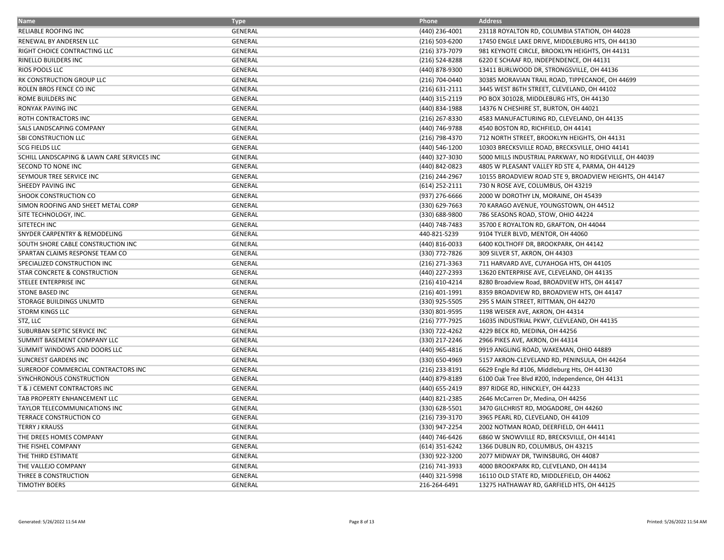| <b>Name</b>                                 | <b>Type</b>    | Phone              | <b>Address</b>                                          |
|---------------------------------------------|----------------|--------------------|---------------------------------------------------------|
| RELIABLE ROOFING INC                        | GENERAL        | (440) 236-4001     | 23118 ROYALTON RD, COLUMBIA STATION, OH 44028           |
| RENEWAL BY ANDERSEN LLC                     | <b>GENERAL</b> | (216) 503-6200     | 17450 ENGLE LAKE DRIVE, MIDDLEBURG HTS, OH 44130        |
| RIGHT CHOICE CONTRACTING LLC                | GENERAL        | (216) 373-7079     | 981 KEYNOTE CIRCLE, BROOKLYN HEIGHTS, OH 44131          |
| <b>RINELLO BUILDERS INC</b>                 | <b>GENERAL</b> | (216) 524-8288     | 6220 E SCHAAF RD, INDEPENDENCE, OH 44131                |
| RIOS POOLS LLC                              | GENERAL        | (440) 878-9300     | 13411 BURLWOOD DR, STRONGSVILLE, OH 44136               |
| RK CONSTRUCTION GROUP LLC                   | GENERAL        | (216) 704-0440     | 30385 MORAVIAN TRAIL ROAD, TIPPECANOE, OH 44699         |
| ROLEN BROS FENCE CO INC                     | <b>GENERAL</b> | $(216) 631 - 2111$ | 3445 WEST 86TH STREET, CLEVELAND, OH 44102              |
| ROME BUILDERS INC                           | <b>GENERAL</b> | (440) 315-2119     | PO BOX 301028, MIDDLEBURG HTS, OH 44130                 |
| <b>RONYAK PAVING INC</b>                    | GENERAL        | (440) 834-1988     | 14376 N CHESHIRE ST, BURTON, OH 44021                   |
| ROTH CONTRACTORS INC                        | <b>GENERAL</b> | (216) 267-8330     | 4583 MANUFACTURING RD, CLEVELAND, OH 44135              |
| SALS LANDSCAPING COMPANY                    | <b>GENERAL</b> | (440) 746-9788     | 4540 BOSTON RD, RICHFIELD, OH 44141                     |
| SBI CONSTRUCTION LLC                        | GENERAL        | (216) 798-4370     | 712 NORTH STREET, BROOKLYN HEIGHTS, OH 44131            |
| <b>SCG FIELDS LLC</b>                       | <b>GENERAL</b> | (440) 546-1200     | 10303 BRECKSVILLE ROAD, BRECKSVILLE, OHIO 44141         |
| SCHILL LANDSCAPING & LAWN CARE SERVICES INC | <b>GENERAL</b> | (440) 327-3030     | 5000 MILLS INDUSTRIAL PARKWAY, NO RIDGEVILLE, OH 44039  |
| SECOND TO NONE INC                          | <b>GENERAL</b> | (440) 842-0823     | 4805 W PLEASANT VALLEY RD STE 4, PARMA, OH 44129        |
| SEYMOUR TREE SERVICE INC                    | GENERAL        | (216) 244-2967     | 10155 BROADVIEW ROAD STE 9, BROADVIEW HEIGHTS, OH 44147 |
| SHEEDY PAVING INC                           | <b>GENERAL</b> | (614) 252-2111     | 730 N ROSE AVE, COLUMBUS, OH 43219                      |
| SHOOK CONSTRUCTION CO                       | GENERAL        | (937) 276-6666     | 2000 W DOROTHY LN, MORAINE, OH 45439                    |
| SIMON ROOFING AND SHEET METAL CORP          | <b>GENERAL</b> | (330) 629-7663     | 70 KARAGO AVENUE, YOUNGSTOWN, OH 44512                  |
| SITE TECHNOLOGY, INC.                       | <b>GENERAL</b> | (330) 688-9800     | 786 SEASONS ROAD, STOW, OHIO 44224                      |
| SITETECH INC                                | <b>GENERAL</b> | (440) 748-7483     | 35700 E ROYALTON RD, GRAFTON, OH 44044                  |
| SNYDER CARPENTRY & REMODELING               | GENERAL        | 440-821-5239       | 9104 TYLER BLVD, MENTOR, OH 44060                       |
| SOUTH SHORE CABLE CONSTRUCTION INC          | <b>GENERAL</b> | (440) 816-0033     | 6400 KOLTHOFF DR, BROOKPARK, OH 44142                   |
| SPARTAN CLAIMS RESPONSE TEAM CO             | <b>GENERAL</b> | (330) 772-7826     | 309 SILVER ST, AKRON, OH 44303                          |
| SPECIALIZED CONSTRUCTION INC                | <b>GENERAL</b> | (216) 271-3363     | 711 HARVARD AVE, CUYAHOGA HTS, OH 44105                 |
| STAR CONCRETE & CONSTRUCTION                | GENERAL        | (440) 227-2393     | 13620 ENTERPRISE AVE, CLEVELAND, OH 44135               |
| STELEE ENTERPRISE INC                       | GENERAL        | (216) 410-4214     | 8280 Broadview Road, BROADVIEW HTS, OH 44147            |
| <b>STONE BASED INC</b>                      | GENERAL        | (216) 401-1991     | 8359 BROADVIEW RD, BROADVIEW HTS, OH 44147              |
| STORAGE BUILDINGS UNLMTD                    | <b>GENERAL</b> | (330) 925-5505     | 295 S MAIN STREET, RITTMAN, OH 44270                    |
| <b>STORM KINGS LLC</b>                      | <b>GENERAL</b> | (330) 801-9595     | 1198 WEISER AVE, AKRON, OH 44314                        |
| STZ, LLC                                    | <b>GENERAL</b> | (216) 777-7925     | 16035 INDUSTRIAL PKWY, CLEVLEAND, OH 44135              |
| SUBURBAN SEPTIC SERVICE INC                 | <b>GENERAL</b> | (330) 722-4262     | 4229 BECK RD, MEDINA, OH 44256                          |
| SUMMIT BASEMENT COMPANY LLC                 | <b>GENERAL</b> | (330) 217-2246     | 2966 PIKES AVE, AKRON, OH 44314                         |
| SUMMIT WINDOWS AND DOORS LLC                | GENERAL        | (440) 965-4816     | 9919 ANGLING ROAD, WAKEMAN, OHIO 44889                  |
| <b>SUNCREST GARDENS INC</b>                 | GENERAL        | (330) 650-4969     | 5157 AKRON-CLEVELAND RD, PENINSULA, OH 44264            |
| SUREROOF COMMERCIAL CONTRACTORS INC         | <b>GENERAL</b> | (216) 233-8191     | 6629 Engle Rd #106, Middleburg Hts, OH 44130            |
| SYNCHRONOUS CONSTRUCTION                    | <b>GENERAL</b> | (440) 879-8189     | 6100 Oak Tree Blvd #200, Independence, OH 44131         |
| T & J CEMENT CONTRACTORS INC                | <b>GENERAL</b> | (440) 655-2419     | 897 RIDGE RD, HINCKLEY, OH 44233                        |
| TAB PROPERTY ENHANCEMENT LLC                | GENERAL        | (440) 821-2385     | 2646 McCarren Dr, Medina, OH 44256                      |
| TAYLOR TELECOMMUNICATIONS INC               | <b>GENERAL</b> | (330) 628-5501     | 3470 GILCHRIST RD, MOGADORE, OH 44260                   |
| TERRACE CONSTRUCTION CO                     | GENERAL        | (216) 739-3170     | 3965 PEARL RD, CLEVELAND, OH 44109                      |
| <b>TERRY J KRAUSS</b>                       | GENERAL        | (330) 947-2254     | 2002 NOTMAN ROAD, DEERFIELD, OH 44411                   |
| THE DREES HOMES COMPANY                     | <b>GENERAL</b> | (440) 746-6426     | 6860 W SNOWVILLE RD, BRECKSVILLE, OH 44141              |
| THE FISHEL COMPANY                          | <b>GENERAL</b> | (614) 351-6242     | 1366 DUBLIN RD, COLUMBUS, OH 43215                      |
| THE THIRD ESTIMATE                          | GENERAL        | (330) 922-3200     | 2077 MIDWAY DR, TWINSBURG, OH 44087                     |
| THE VALLEJO COMPANY                         | GENERAL        | (216) 741-3933     | 4000 BROOKPARK RD, CLEVELAND, OH 44134                  |
| THREE B CONSTRUCTION                        | GENERAL        | (440) 321-5998     | 16110 OLD STATE RD, MIDDLEFIELD, OH 44062               |
| <b>TIMOTHY BOERS</b>                        | <b>GENERAL</b> | 216-264-6491       | 13275 HATHAWAY RD, GARFIELD HTS, OH 44125               |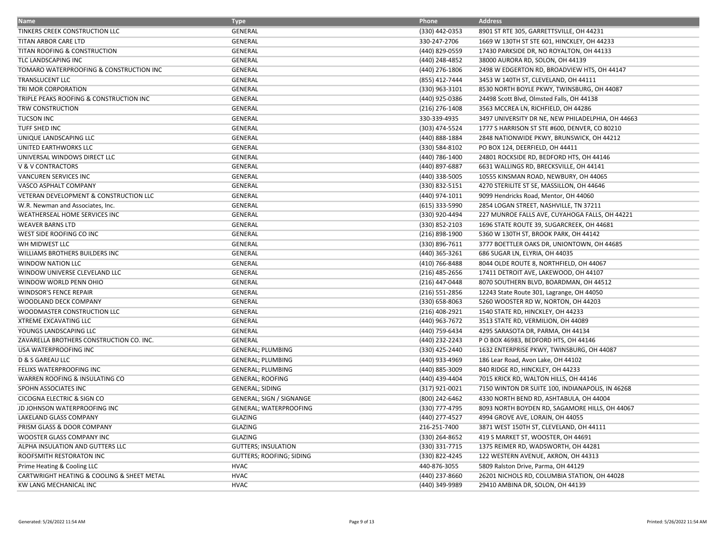| <b>Name</b>                                | <b>Type</b>                     | Phone            | <b>Address</b>                                    |
|--------------------------------------------|---------------------------------|------------------|---------------------------------------------------|
| TINKERS CREEK CONSTRUCTION LLC             | GENERAL                         | (330) 442-0353   | 8901 ST RTE 305, GARRETTSVILLE, OH 44231          |
| TITAN ARBOR CARE LTD                       | <b>GENERAL</b>                  | 330-247-2706     | 1669 W 130TH ST STE 601, HINCKLEY, OH 44233       |
| TITAN ROOFING & CONSTRUCTION               | GENERAL                         | (440) 829-0559   | 17430 PARKSIDE DR, NO ROYALTON, OH 44133          |
| TLC LANDSCAPING INC                        | GENERAL                         | (440) 248-4852   | 38000 AURORA RD, SOLON, OH 44139                  |
| TOMARO WATERPROOFING & CONSTRUCTION INC    | GENERAL                         | (440) 276-1806   | 2498 W EDGERTON RD, BROADVIEW HTS, OH 44147       |
| TRANSLUCENT LLC                            | <b>GENERAL</b>                  | (855) 412-7444   | 3453 W 140TH ST, CLEVELAND, OH 44111              |
| TRI MOR CORPORATION                        | <b>GENERAL</b>                  | (330) 963-3101   | 8530 NORTH BOYLE PKWY, TWINSBURG, OH 44087        |
| TRIPLE PEAKS ROOFING & CONSTRUCTION INC    | GENERAL                         | (440) 925-0386   | 24498 Scott Blvd, Olmsted Falls, OH 44138         |
| TRW CONSTRUCTION                           | GENERAL                         | $(216)$ 276-1408 | 3563 MCCREA LN, RICHFIELD, OH 44286               |
| <b>TUCSON INC</b>                          | <b>GENERAL</b>                  | 330-339-4935     | 3497 UNIVERSITY DR NE, NEW PHILADELPHIA, OH 44663 |
| <b>TUFF SHED INC</b>                       | <b>GENERAL</b>                  | (303) 474-5524   | 1777 S HARRISON ST STE #600, DENVER, CO 80210     |
| UNIQUE LANDSCAPING LLC                     | GENERAL                         | (440) 888-1884   | 2848 NATIONWIDE PKWY, BRUNSWICK, OH 44212         |
| UNITED EARTHWORKS LLC                      | GENERAL                         | (330) 584-8102   | PO BOX 124, DEERFIELD, OH 44411                   |
| UNIVERSAL WINDOWS DIRECT LLC               | <b>GENERAL</b>                  | (440) 786-1400   | 24801 ROCKSIDE RD, BEDFORD HTS, OH 44146          |
| <b>V &amp; V CONTRACTORS</b>               | GENERAL                         | (440) 897-6887   | 6631 WALLINGS RD, BRECKSVILLE, OH 44141           |
| VANCUREN SERVICES INC                      | GENERAL                         | (440) 338-5005   | 10555 KINSMAN ROAD, NEWBURY, OH 44065             |
| VASCO ASPHALT COMPANY                      | GENERAL                         | (330) 832-5151   | 4270 STERILITE ST SE, MASSILLON, OH 44646         |
| VETERAN DEVELOPMENT & CONSTRUCTION LLC     | GENERAL                         | (440) 974-1011   | 9099 Hendricks Road, Mentor, OH 44060             |
| W.R. Newman and Associates, Inc.           | <b>GENERAL</b>                  | (615) 333-5990   | 2854 LOGAN STREET, NASHVILLE, TN 37211            |
| WEATHERSEAL HOME SERVICES INC              | GENERAL                         | (330) 920-4494   | 227 MUNROE FALLS AVE, CUYAHOGA FALLS, OH 44221    |
| <b>WEAVER BARNS LTD</b>                    | GENERAL                         | (330) 852-2103   | 1696 STATE ROUTE 39, SUGARCREEK, OH 44681         |
| WEST SIDE ROOFING CO INC                   | GENERAL                         | (216) 898-1900   | 5360 W 130TH ST, BROOK PARK, OH 44142             |
| WH MIDWEST LLC                             | GENERAL                         | (330) 896-7611   | 3777 BOETTLER OAKS DR, UNIONTOWN, OH 44685        |
| WILLIAMS BROTHERS BUILDERS INC             | GENERAL                         | (440) 365-3261   | 686 SUGAR LN, ELYRIA, OH 44035                    |
| <b>WINDOW NATION LLC</b>                   | GENERAL                         | (410) 766-8488   | 8044 OLDE ROUTE 8, NORTHFIELD, OH 44067           |
| WINDOW UNIVERSE CLEVELAND LLC              | GENERAL                         | $(216)$ 485-2656 | 17411 DETROIT AVE, LAKEWOOD, OH 44107             |
| WINDOW WORLD PENN OHIO                     | <b>GENERAL</b>                  | (216) 447-0448   | 8070 SOUTHERN BLVD, BOARDMAN, OH 44512            |
| <b>WINDSOR'S FENCE REPAIR</b>              | <b>GENERAL</b>                  | (216) 551-2856   | 12243 State Route 301, Lagrange, OH 44050         |
| WOODLAND DECK COMPANY                      | GENERAL                         | (330) 658-8063   | 5260 WOOSTER RD W, NORTON, OH 44203               |
| WOODMASTER CONSTRUCTION LLC                | GENERAL                         | (216) 408-2921   | 1540 STATE RD, HINCKLEY, OH 44233                 |
| <b>XTREME EXCAVATING LLC</b>               | <b>GENERAL</b>                  | (440) 963-7672   | 3513 STATE RD, VERMILION, OH 44089                |
| YOUNGS LANDSCAPING LLC                     | <b>GENERAL</b>                  | (440) 759-6434   | 4295 SARASOTA DR, PARMA, OH 44134                 |
| ZAVARELLA BROTHERS CONSTRUCTION CO. INC.   | GENERAL                         | (440) 232-2243   | PO BOX 46983, BEDFORD HTS, OH 44146               |
| USA WATERPROOFING INC                      | <b>GENERAL; PLUMBING</b>        | (330) 425-2440   | 1632 ENTERPRISE PKWY, TWINSBURG, OH 44087         |
| D & S GAREAU LLC                           | <b>GENERAL; PLUMBING</b>        | (440) 933-4969   | 186 Lear Road, Avon Lake, OH 44102                |
| FELIXS WATERPROOFING INC                   | <b>GENERAL; PLUMBING</b>        | (440) 885-3009   | 840 RIDGE RD, HINCKLEY, OH 44233                  |
| WARREN ROOFING & INSULATING CO             | <b>GENERAL; ROOFING</b>         | (440) 439-4404   | 7015 KRICK RD, WALTON HILLS, OH 44146             |
| SPOHN ASSOCIATES INC                       | <b>GENERAL; SIDING</b>          | (317) 921-0021   | 7150 WINTON DR SUITE 100, INDIANAPOLIS, IN 46268  |
| CICOGNA ELECTRIC & SIGN CO                 | <b>GENERAL; SIGN / SIGNANGE</b> | (800) 242-6462   | 4330 NORTH BEND RD, ASHTABULA, OH 44004           |
| JD JOHNSON WATERPROOFING INC               | GENERAL; WATERPROOFING          | (330) 777-4795   | 8093 NORTH BOYDEN RD, SAGAMORE HILLS, OH 44067    |
| LAKELAND GLASS COMPANY                     | GLAZING                         | (440) 277-4527   | 4994 GROVE AVE, LORAIN, OH 44055                  |
| PRISM GLASS & DOOR COMPANY                 | GLAZING                         | 216-251-7400     | 3871 WEST 150TH ST, CLEVELAND, OH 44111           |
| WOOSTER GLASS COMPANY INC                  | <b>GLAZING</b>                  | (330) 264-8652   | 419 S MARKET ST, WOOSTER, OH 44691                |
| ALPHA INSULATION AND GUTTERS LLC           | <b>GUTTERS; INSULATION</b>      | (330) 331-7715   | 1375 REIMER RD, WADSWORTH, OH 44281               |
| ROOFSMITH RESTORATON INC                   | <b>GUTTERS; ROOFING; SIDING</b> | (330) 822-4245   | 122 WESTERN AVENUE, AKRON, OH 44313               |
| Prime Heating & Cooling LLC                | <b>HVAC</b>                     | 440-876-3055     | 5809 Ralston Drive, Parma, OH 44129               |
| CARTWRIGHT HEATING & COOLING & SHEET METAL | <b>HVAC</b>                     | (440) 237-8660   | 26201 NICHOLS RD, COLUMBIA STATION, OH 44028      |
| <b>KW LANG MECHANICAL INC</b>              | <b>HVAC</b>                     | (440) 349-9989   | 29410 AMBINA DR, SOLON, OH 44139                  |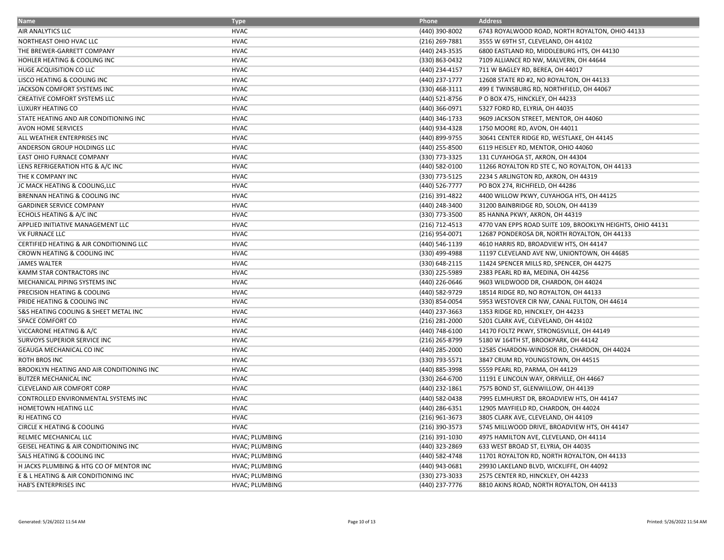| <b>Name</b>                                         | <b>Type</b>           | Phone            | <b>Address</b>                                             |
|-----------------------------------------------------|-----------------------|------------------|------------------------------------------------------------|
| AIR ANALYTICS LLC                                   | <b>HVAC</b>           | (440) 390-8002   | 6743 ROYALWOOD ROAD, NORTH ROYALTON, OHIO 44133            |
| NORTHEAST OHIO HVAC LLC                             | <b>HVAC</b>           | (216) 269-7881   | 3555 W 69TH ST, CLEVELAND, OH 44102                        |
| THE BREWER-GARRETT COMPANY                          | <b>HVAC</b>           | (440) 243-3535   | 6800 EASTLAND RD, MIDDLEBURG HTS, OH 44130                 |
| HOHLER HEATING & COOLING INC                        | <b>HVAC</b>           | (330) 863-0432   | 7109 ALLIANCE RD NW, MALVERN, OH 44644                     |
| HUGE ACQUISITION CO LLC                             | <b>HVAC</b>           | (440) 234-4157   | 711 W BAGLEY RD, BEREA, OH 44017                           |
| LISCO HEATING & COOLING INC                         | <b>HVAC</b>           | (440) 237-1777   | 12608 STATE RD #2, NO ROYALTON, OH 44133                   |
| JACKSON COMFORT SYSTEMS INC                         | <b>HVAC</b>           | (330) 468-3111   | 499 E TWINSBURG RD, NORTHFIELD, OH 44067                   |
| <b>CREATIVE COMFORT SYSTEMS LLC</b>                 | <b>HVAC</b>           | (440) 521-8756   | P O BOX 475, HINCKLEY, OH 44233                            |
| LUXURY HEATING CO                                   | <b>HVAC</b>           | (440) 366-0971   | 5327 FORD RD, ELYRIA, OH 44035                             |
| STATE HEATING AND AIR CONDITIONING INC              | <b>HVAC</b>           | (440) 346-1733   | 9609 JACKSON STREET, MENTOR, OH 44060                      |
| AVON HOME SERVICES                                  | <b>HVAC</b>           | (440) 934-4328   | 1750 MOORE RD, AVON, OH 44011                              |
| ALL WEATHER ENTERPRISES INC                         | <b>HVAC</b>           | (440) 899-9755   | 30641 CENTER RIDGE RD, WESTLAKE, OH 44145                  |
| ANDERSON GROUP HOLDINGS LLC                         | <b>HVAC</b>           | (440) 255-8500   | 6119 HEISLEY RD, MENTOR, OHIO 44060                        |
| EAST OHIO FURNACE COMPANY                           | <b>HVAC</b>           | (330) 773-3325   | 131 CUYAHOGA ST, AKRON, OH 44304                           |
| LENS REFRIGERATION HTG & A/C INC                    | <b>HVAC</b>           | (440) 582-0100   | 11266 ROYALTON RD STE C, NO ROYALTON, OH 44133             |
| THE K COMPANY INC                                   | <b>HVAC</b>           | (330) 773-5125   | 2234 S ARLINGTON RD, AKRON, OH 44319                       |
| JC MACK HEATING & COOLING, LLC                      | <b>HVAC</b>           | (440) 526-7777   | PO BOX 274, RICHFIELD, OH 44286                            |
| BRENNAN HEATING & COOLING INC                       | <b>HVAC</b>           | (216) 391-4822   | 4400 WILLOW PKWY, CUYAHOGA HTS, OH 44125                   |
| <b>GARDINER SERVICE COMPANY</b>                     | <b>HVAC</b>           | (440) 248-3400   | 31200 BAINBRIDGE RD, SOLON, OH 44139                       |
| ECHOLS HEATING & A/C INC                            | <b>HVAC</b>           | (330) 773-3500   | 85 HANNA PKWY, AKRON, OH 44319                             |
| APPLIED INITIATIVE MANAGEMENT LLC                   | <b>HVAC</b>           | (216) 712-4513   | 4770 VAN EPPS ROAD SUITE 109, BROOKLYN HEIGHTS, OHIO 44131 |
| VK FURNACE LLC                                      | <b>HVAC</b>           | (216) 954-0071   | 12687 PONDEROSA DR, NORTH ROYALTON, OH 44133               |
| <b>CERTIFIED HEATING &amp; AIR CONDITIONING LLC</b> | <b>HVAC</b>           | (440) 546-1139   | 4610 HARRIS RD, BROADVIEW HTS, OH 44147                    |
| CROWN HEATING & COOLING INC                         | <b>HVAC</b>           | (330) 499-4988   | 11197 CLEVELAND AVE NW, UNIONTOWN, OH 44685                |
| <b>JAMES WALTER</b>                                 | <b>HVAC</b>           | (330) 648-2115   | 11424 SPENCER MILLS RD, SPENCER, OH 44275                  |
| KAMM STAR CONTRACTORS INC                           | <b>HVAC</b>           | (330) 225-5989   | 2383 PEARL RD #A, MEDINA, OH 44256                         |
| MECHANICAL PIPING SYSTEMS INC                       | <b>HVAC</b>           | (440) 226-0646   | 9603 WILDWOOD DR, CHARDON, OH 44024                        |
| PRECISION HEATING & COOLING                         | <b>HVAC</b>           | (440) 582-9729   | 18514 RIDGE RD, NO ROYALTON, OH 44133                      |
| PRIDE HEATING & COOLING INC                         | <b>HVAC</b>           | (330) 854-0054   | 5953 WESTOVER CIR NW, CANAL FULTON, OH 44614               |
| S&S HEATING COOLING & SHEET METAL INC               | <b>HVAC</b>           | (440) 237-3663   | 1353 RIDGE RD, HINCKLEY, OH 44233                          |
| SPACE COMFORT CO                                    | <b>HVAC</b>           | $(216)$ 281-2000 | 5201 CLARK AVE, CLEVELAND, OH 44102                        |
| VICCARONE HEATING & A/C                             | <b>HVAC</b>           | (440) 748-6100   | 14170 FOLTZ PKWY, STRONGSVILLE, OH 44149                   |
| SURVOYS SUPERIOR SERVICE INC                        | <b>HVAC</b>           | (216) 265-8799   | 5180 W 164TH ST, BROOKPARK, OH 44142                       |
| GEAUGA MECHANICAL CO INC                            | <b>HVAC</b>           | (440) 285-2000   | 12585 CHARDON-WINDSOR RD, CHARDON, OH 44024                |
| ROTH BROS INC                                       | <b>HVAC</b>           | (330) 793-5571   | 3847 CRUM RD, YOUNGSTOWN, OH 44515                         |
| BROOKLYN HEATING AND AIR CONDITIONING INC           | <b>HVAC</b>           | (440) 885-3998   | 5559 PEARL RD, PARMA, OH 44129                             |
| BUTZER MECHANICAL INC                               | <b>HVAC</b>           | (330) 264-6700   | 11191 E LINCOLN WAY, ORRVILLE, OH 44667                    |
| CLEVELAND AIR COMFORT CORP                          | <b>HVAC</b>           | (440) 232-1861   | 7575 BOND ST, GLENWILLOW, OH 44139                         |
| CONTROLLED ENVIRONMENTAL SYSTEMS INC                | <b>HVAC</b>           | (440) 582-0438   | 7995 ELMHURST DR, BROADVIEW HTS, OH 44147                  |
| HOMETOWN HEATING LLC                                | <b>HVAC</b>           | (440) 286-6351   | 12905 MAYFIELD RD, CHARDON, OH 44024                       |
| <b>RJ HEATING CO</b>                                | <b>HVAC</b>           | $(216)$ 961-3673 | 3805 CLARK AVE, CLEVELAND, OH 44109                        |
| <b>CIRCLE K HEATING &amp; COOLING</b>               | <b>HVAC</b>           | (216) 390-3573   | 5745 MILLWOOD DRIVE, BROADVIEW HTS, OH 44147               |
| RELMEC MECHANICAL LLC                               | HVAC; PLUMBING        | (216) 391-1030   | 4975 HAMILTON AVE, CLEVELAND, OH 44114                     |
| GEISEL HEATING & AIR CONDITIONING INC               | HVAC; PLUMBING        | (440) 323-2869   | 633 WEST BROAD ST, ELYRIA, OH 44035                        |
| SALS HEATING & COOLING INC                          | HVAC; PLUMBING        | (440) 582-4748   | 11701 ROYALTON RD, NORTH ROYALTON, OH 44133                |
| H JACKS PLUMBING & HTG CO OF MENTOR INC             | HVAC; PLUMBING        | (440) 943-0681   | 29930 LAKELAND BLVD, WICKLIFFE, OH 44092                   |
| E & L HEATING & AIR CONDITIONING INC                | <b>HVAC; PLUMBING</b> | (330) 273-3033   | 2575 CENTER RD, HINCKLEY, OH 44233                         |
| HAB'S ENTERPRISES INC                               | <b>HVAC; PLUMBING</b> | (440) 237-7776   | 8810 AKINS ROAD, NORTH ROYALTON, OH 44133                  |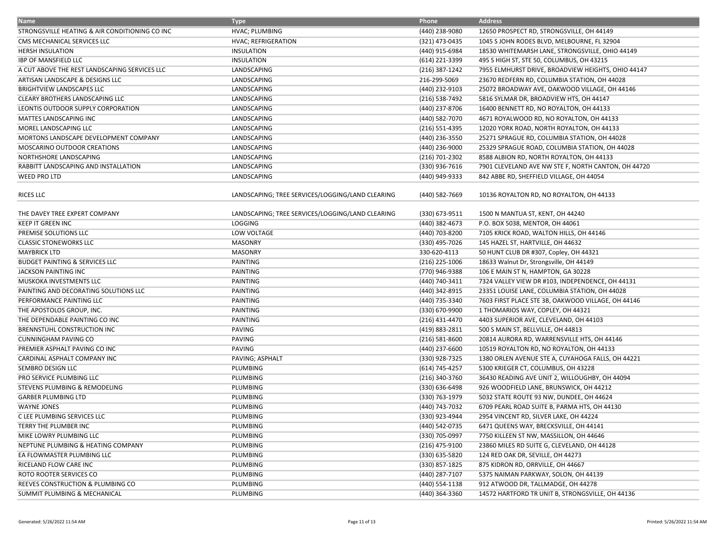| <b>Name</b>                                    | <b>Type</b>                                      | Phone              | <b>Address</b>                                      |
|------------------------------------------------|--------------------------------------------------|--------------------|-----------------------------------------------------|
| STRONGSVILLE HEATING & AIR CONDITIONING CO INC | HVAC; PLUMBING                                   | (440) 238-9080     | 12650 PROSPECT RD, STRONGSVILLE, OH 44149           |
| CMS MECHANICAL SERVICES LLC                    | HVAC; REFRIGERATION                              | (321) 473-0435     | 1045 S JOHN RODES BLVD, MELBOURNE, FL 32904         |
| <b>HERSH INSULATION</b>                        | <b>INSULATION</b>                                | (440) 915-6984     | 18530 WHITEMARSH LANE, STRONGSVILLE, OHIO 44149     |
| IBP OF MANSFIELD LLC                           | <b>INSULATION</b>                                | (614) 221-3399     | 495 S HIGH ST, STE 50, COLUMBUS, OH 43215           |
| A CUT ABOVE THE REST LANDSCAPING SERVICES LLC  | LANDSCAPING                                      | (216) 387-1242     | 7955 ELMHURST DRIVE, BROADVIEW HEIGHTS, OHIO 44147  |
| ARTISAN LANDSCAPE & DESIGNS LLC                | LANDSCAPING                                      | 216-299-5069       | 23670 REDFERN RD, COLUMBIA STATION, OH 44028        |
| <b>BRIGHTVIEW LANDSCAPES LLC</b>               | LANDSCAPING                                      | (440) 232-9103     | 25072 BROADWAY AVE, OAKWOOD VILLAGE, OH 44146       |
| CLEARY BROTHERS LANDSCAPING LLC                | LANDSCAPING                                      | (216) 538-7492     | 5816 SYLMAR DR, BROADVIEW HTS, OH 44147             |
| LEONTIS OUTDOOR SUPPLY CORPORATION             | LANDSCAPING                                      | (440) 237-8706     | 16400 BENNETT RD, NO ROYALTON, OH 44133             |
| MATTES LANDSCAPING INC                         | LANDSCAPING                                      | (440) 582-7070     | 4671 ROYALWOOD RD, NO ROYALTON, OH 44133            |
| MOREL LANDSCAPING LLC                          | LANDSCAPING                                      | (216) 551-4395     | 12020 YORK ROAD, NORTH ROYALTON, OH 44133           |
| MORTONS LANDSCAPE DEVELOPMENT COMPANY          | LANDSCAPING                                      | (440) 236-3550     | 25271 SPRAGUE RD, COLUMBIA STATION, OH 44028        |
| MOSCARINO OUTDOOR CREATIONS                    | LANDSCAPING                                      | (440) 236-9000     | 25329 SPRAGUE ROAD, COLUMBIA STATION, OH 44028      |
| NORTHSHORE LANDSCAPING                         | LANDSCAPING                                      | (216) 701-2302     | 8588 ALBION RD, NORTH ROYALTON, OH 44133            |
| RABBITT LANDSCAPING AND INSTALLATION           | LANDSCAPING                                      | (330) 936-7616     | 7901 CLEVELAND AVE NW STE F, NORTH CANTON, OH 44720 |
| <b>WEED PRO LTD</b>                            | LANDSCAPING                                      | (440) 949-9333     | 842 ABBE RD, SHEFFIELD VILLAGE, OH 44054            |
| <b>RICES LLC</b>                               | LANDSCAPING; TREE SERVICES/LOGGING/LAND CLEARING | (440) 582-7669     | 10136 ROYALTON RD, NO ROYALTON, OH 44133            |
| THE DAVEY TREE EXPERT COMPANY                  | LANDSCAPING; TREE SERVICES/LOGGING/LAND CLEARING | (330) 673-9511     | 1500 N MANTUA ST, KENT, OH 44240                    |
| <b>KEEP IT GREEN INC</b>                       | LOGGING                                          | (440) 382-4673     | P.O. BOX 5038, MENTOR, OH 44061                     |
| PREMISE SOLUTIONS LLC                          | LOW VOLTAGE                                      | (440) 703-8200     | 7105 KRICK ROAD, WALTON HILLS, OH 44146             |
| <b>CLASSIC STONEWORKS LLC</b>                  | <b>MASONRY</b>                                   | (330) 495-7026     | 145 HAZEL ST, HARTVILLE, OH 44632                   |
| <b>MAYBRICK LTD</b>                            | <b>MASONRY</b>                                   | 330-620-4113       | 50 HUNT CLUB DR #307, Copley, OH 44321              |
| <b>BUDGET PAINTING &amp; SERVICES LLC</b>      | PAINTING                                         | $(216)$ 225-1006   | 18633 Walnut Dr, Strongsville, OH 44149             |
| JACKSON PAINTING INC                           | PAINTING                                         | (770) 946-9388     | 106 E MAIN ST N, HAMPTON, GA 30228                  |
| MUSKOKA INVESTMENTS LLC                        | PAINTING                                         | (440) 740-3411     | 7324 VALLEY VIEW DR #103, INDEPENDENCE, OH 44131    |
| PAINTING AND DECORATING SOLUTIONS LLC          | PAINTING                                         | (440) 342-8915     | 23351 LOUISE LANE, COLUMBIA STATION, OH 44028       |
| PERFORMANCE PAINTING LLC                       | PAINTING                                         | (440) 735-3340     | 7603 FIRST PLACE STE 3B, OAKWOOD VILLAGE, OH 44146  |
| THE APOSTOLOS GROUP, INC.                      | PAINTING                                         | (330) 670-9900     | 1 THOMARIOS WAY, COPLEY, OH 44321                   |
| THE DEPENDABLE PAINTING CO INC                 | PAINTING                                         | (216) 431-4470     | 4403 SUPERIOR AVE, CLEVELAND, OH 44103              |
| BRENNSTUHL CONSTRUCTION INC                    | PAVING                                           | (419) 883-2811     | 500 S MAIN ST, BELLVILLE, OH 44813                  |
| CUNNINGHAM PAVING CO                           | PAVING                                           | $(216) 581 - 8600$ | 20814 AURORA RD, WARRENSVILLE HTS, OH 44146         |
| PREMIER ASPHALT PAVING CO INC                  | <b>PAVING</b>                                    | (440) 237-6600     | 10519 ROYALTON RD, NO ROYALTON, OH 44133            |
| CARDINAL ASPHALT COMPANY INC                   | PAVING; ASPHALT                                  | (330) 928-7325     | 1380 ORLEN AVENUE STE A, CUYAHOGA FALLS, OH 44221   |
| SEMBRO DESIGN LLC                              | PLUMBING                                         | (614) 745-4257     | 5300 KRIEGER CT, COLUMBUS, OH 43228                 |
| PRO SERVICE PLUMBING LLC                       | PLUMBING                                         | (216) 340-3760     | 36430 READING AVE UNIT 2, WILLOUGHBY, OH 44094      |
| STEVENS PLUMBING & REMODELING                  | PLUMBING                                         | (330) 636-6498     | 926 WOODFIELD LANE, BRUNSWICK, OH 44212             |
| <b>GARBER PLUMBING LTD</b>                     | PLUMBING                                         | (330) 763-1979     | 5032 STATE ROUTE 93 NW, DUNDEE, OH 44624            |
| <b>WAYNE JONES</b>                             | PLUMBING                                         | (440) 743-7032     | 6709 PEARL ROAD SUITE B, PARMA HTS, OH 44130        |
| C LEE PLUMBING SERVICES LLC                    | PLUMBING                                         | (330) 923-4944     | 2954 VINCENT RD, SILVER LAKE, OH 44224              |
| TERRY THE PLUMBER INC                          | PLUMBING                                         | (440) 542-0735     | 6471 QUEENS WAY, BRECKSVILLE, OH 44141              |
| MIKE LOWRY PLUMBING LLC                        | PLUMBING                                         | (330) 705-0997     | 7750 KILLEEN ST NW, MASSILLON, OH 44646             |
| NEPTUNE PLUMBING & HEATING COMPANY             | PLUMBING                                         | (216) 475-9100     | 23860 MILES RD SUITE G, CLEVELAND, OH 44128         |
| EA FLOWMASTER PLUMBING LLC                     | PLUMBING                                         | (330) 635-5820     | 124 RED OAK DR, SEVILLE, OH 44273                   |
| RICELAND FLOW CARE INC                         | PLUMBING                                         | (330) 857-1825     | 875 KIDRON RD, ORRVILLE, OH 44667                   |
| ROTO ROOTER SERVICES CO                        | PLUMBING                                         | (440) 287-7107     | 5375 NAIMAN PARKWAY, SOLON, OH 44139                |
| REEVES CONSTRUCTION & PLUMBING CO              | PLUMBING                                         | (440) 554-1138     | 912 ATWOOD DR, TALLMADGE, OH 44278                  |
| SUMMIT PLUMBING & MECHANICAL                   | PLUMBING                                         | (440) 364-3360     | 14572 HARTFORD TR UNIT B, STRONGSVILLE, OH 44136    |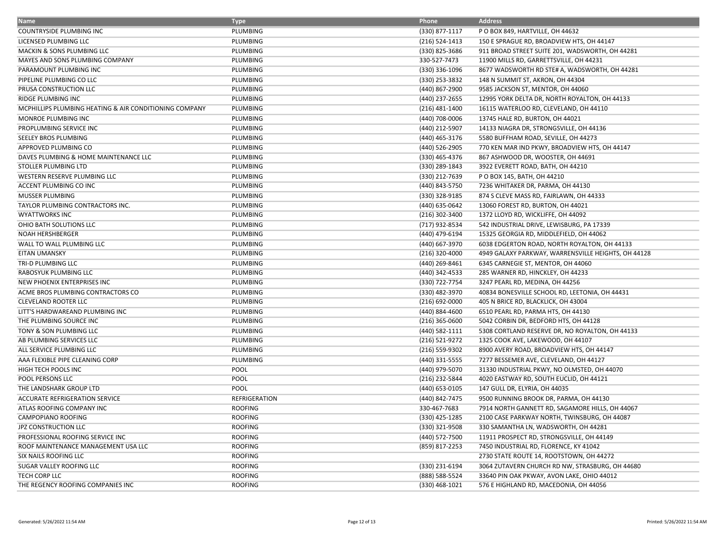| <b>Name</b>                                            | <b>Type</b>     | Phone            | <b>Address</b>                                      |
|--------------------------------------------------------|-----------------|------------------|-----------------------------------------------------|
| COUNTRYSIDE PLUMBING INC                               | PLUMBING        | (330) 877-1117   | P O BOX 849, HARTVILLE, OH 44632                    |
| LICENSED PLUMBING LLC                                  | <b>PLUMBING</b> | (216) 524-1413   | 150 E SPRAGUE RD, BROADVIEW HTS, OH 44147           |
| <b>MACKIN &amp; SONS PLUMBING LLC</b>                  | PLUMBING        | (330) 825-3686   | 911 BROAD STREET SUITE 201, WADSWORTH, OH 44281     |
| MAYES AND SONS PLUMBING COMPANY                        | PLUMBING        | 330-527-7473     | 11900 MILLS RD, GARRETTSVILLE, OH 44231             |
| PARAMOUNT PLUMBING INC                                 | PLUMBING        | (330) 336-1096   | 8677 WADSWORTH RD STE# A, WADSWORTH, OH 44281       |
| PIPELINE PLUMBING CO LLC                               | PLUMBING        | (330) 253-3832   | 148 N SUMMIT ST, AKRON, OH 44304                    |
| PRUSA CONSTRUCTION LLC                                 | <b>PLUMBING</b> | (440) 867-2900   | 9585 JACKSON ST, MENTOR, OH 44060                   |
| RIDGE PLUMBING INC                                     | PLUMBING        | (440) 237-2655   | 12995 YORK DELTA DR, NORTH ROYALTON, OH 44133       |
| MCPHILLIPS PLUMBING HEATING & AIR CONDITIONING COMPANY | PLUMBING        | $(216)$ 481-1400 | 16115 WATERLOO RD, CLEVELAND, OH 44110              |
| MONROE PLUMBING INC                                    | PLUMBING        | (440) 708-0006   | 13745 HALE RD, BURTON, OH 44021                     |
| PROPLUMBING SERVICE INC                                | PLUMBING        | (440) 212-5907   | 14133 NIAGRA DR, STRONGSVILLE, OH 44136             |
| SEELEY BROS PLUMBING                                   | PLUMBING        | (440) 465-3176   | 5580 BUFFHAM ROAD, SEVILLE, OH 44273                |
| APPROVED PLUMBING CO                                   | <b>PLUMBING</b> | (440) 526-2905   | 770 KEN MAR IND PKWY, BROADVIEW HTS, OH 44147       |
| DAVES PLUMBING & HOME MAINTENANCE LLC                  | PLUMBING        | (330) 465-4376   | 867 ASHWOOD DR, WOOSTER, OH 44691                   |
| STOLLER PLUMBING LTD                                   | PLUMBING        | (330) 289-1843   | 3922 EVERETT ROAD, BATH, OH 44210                   |
| WESTERN RESERVE PLUMBING LLC                           | PLUMBING        | (330) 212-7639   | P O BOX 145, BATH, OH 44210                         |
| ACCENT PLUMBING CO INC                                 | PLUMBING        | (440) 843-5750   | 7236 WHITAKER DR, PARMA, OH 44130                   |
| MUSSER PLUMBING                                        | PLUMBING        | (330) 328-9185   | 874 S CLEVE MASS RD, FAIRLAWN, OH 44333             |
| TAYLOR PLUMBING CONTRACTORS INC.                       | PLUMBING        | (440) 635-0642   | 13060 FOREST RD, BURTON, OH 44021                   |
| <b>WYATTWORKS INC</b>                                  | PLUMBING        | (216) 302-3400   | 1372 LLOYD RD, WICKLIFFE, OH 44092                  |
| OHIO BATH SOLUTIONS LLC                                | PLUMBING        | (717) 932-8534   | 542 INDUSTRIAL DRIVE, LEWISBURG, PA 17339           |
| <b>NOAH HERSHBERGER</b>                                | PLUMBING        | (440) 479-6194   | 15325 GEORGIA RD, MIDDLEFIELD, OH 44062             |
| WALL TO WALL PLUMBING LLC                              | PLUMBING        | (440) 667-3970   | 6038 EDGERTON ROAD, NORTH ROYALTON, OH 44133        |
| <b>EITAN UMANSKY</b>                                   | PLUMBING        | (216) 320-4000   | 4949 GALAXY PARKWAY, WARRENSVILLE HEIGHTS, OH 44128 |
| TRI-D PLUMBING LLC                                     | PLUMBING        | (440) 269-8461   | 6345 CARNEGIE ST, MENTOR, OH 44060                  |
| RABOSYUK PLUMBING LLC                                  | PLUMBING        | (440) 342-4533   | 285 WARNER RD, HINCKLEY, OH 44233                   |
| NEW PHOENIX ENTERPRISES INC                            | PLUMBING        | (330) 722-7754   | 3247 PEARL RD, MEDINA, OH 44256                     |
| ACME BROS PLUMBING CONTRACTORS CO                      | PLUMBING        | (330) 482-3970   | 40834 BONESVILLE SCHOOL RD, LEETONIA, OH 44431      |
| <b>CLEVELAND ROOTER LLC</b>                            | PLUMBING        | (216) 692-0000   | 405 N BRICE RD, BLACKLICK, OH 43004                 |
| LITT'S HARDWAREAND PLUMBING INC                        | PLUMBING        | (440) 884-4600   | 6510 PEARL RD, PARMA HTS, OH 44130                  |
| THE PLUMBING SOURCE INC                                | PLUMBING        | $(216)$ 365-0600 | 5042 CORBIN DR, BEDFORD HTS, OH 44128               |
| TONY & SON PLUMBING LLC                                | PLUMBING        | (440) 582-1111   | 5308 CORTLAND RESERVE DR, NO ROYALTON, OH 44133     |
| AB PLUMBING SERVICES LLC                               | PLUMBING        | (216) 521-9272   | 1325 COOK AVE, LAKEWOOD, OH 44107                   |
| ALL SERVICE PLUMBING LLC                               | PLUMBING        | (216) 559-9302   | 8900 AVERY ROAD, BROADVIEW HTS, OH 44147            |
| AAA FLEXIBLE PIPE CLEANING CORP                        | PLUMBING        | (440) 331-5555   | 7277 BESSEMER AVE, CLEVELAND, OH 44127              |
| HIGH TECH POOLS INC                                    | POOL            | (440) 979-5070   | 31330 INDUSTRIAL PKWY, NO OLMSTED, OH 44070         |
| POOL PERSONS LLC                                       | <b>POOL</b>     | (216) 232-5844   | 4020 EASTWAY RD, SOUTH EUCLID, OH 44121             |
| THE LANDSHARK GROUP LTD                                | POOL            | (440) 653-0105   | 147 GULL DR, ELYRIA, OH 44035                       |
| ACCURATE REFRIGERATION SERVICE                         | REFRIGERATION   | (440) 842-7475   | 9500 RUNNING BROOK DR, PARMA, OH 44130              |
| ATLAS ROOFING COMPANY INC                              | <b>ROOFING</b>  | 330-467-7683     | 7914 NORTH GANNETT RD, SAGAMORE HILLS, OH 44067     |
| CAMPOPIANO ROOFING                                     | <b>ROOFING</b>  | (330) 425-1285   | 2100 CASE PARKWAY NORTH, TWINSBURG, OH 44087        |
| <b>JPZ CONSTRUCTION LLC</b>                            | <b>ROOFING</b>  | (330) 321-9508   | 330 SAMANTHA LN, WADSWORTH, OH 44281                |
| PROFESSIONAL ROOFING SERVICE INC                       | <b>ROOFING</b>  | (440) 572-7500   | 11911 PROSPECT RD, STRONGSVILLE, OH 44149           |
| ROOF MAINTENANCE MANAGEMENT USA LLC                    | <b>ROOFING</b>  | (859) 817-2253   | 7450 INDUSTRIAL RD, FLORENCE, KY 41042              |
| SIX NAILS ROOFING LLC                                  | <b>ROOFING</b>  |                  | 2730 STATE ROUTE 14, ROOTSTOWN, OH 44272            |
| SUGAR VALLEY ROOFING LLC                               | <b>ROOFING</b>  | (330) 231-6194   | 3064 ZUTAVERN CHURCH RD NW, STRASBURG, OH 44680     |
| TECH CORP LLC                                          | <b>ROOFING</b>  | (888) 588-5524   | 33640 PIN OAK PKWAY, AVON LAKE, OHIO 44012          |
| THE REGENCY ROOFING COMPANIES INC                      | <b>ROOFING</b>  | (330) 468-1021   | 576 E HIGHLAND RD, MACEDONIA, OH 44056              |